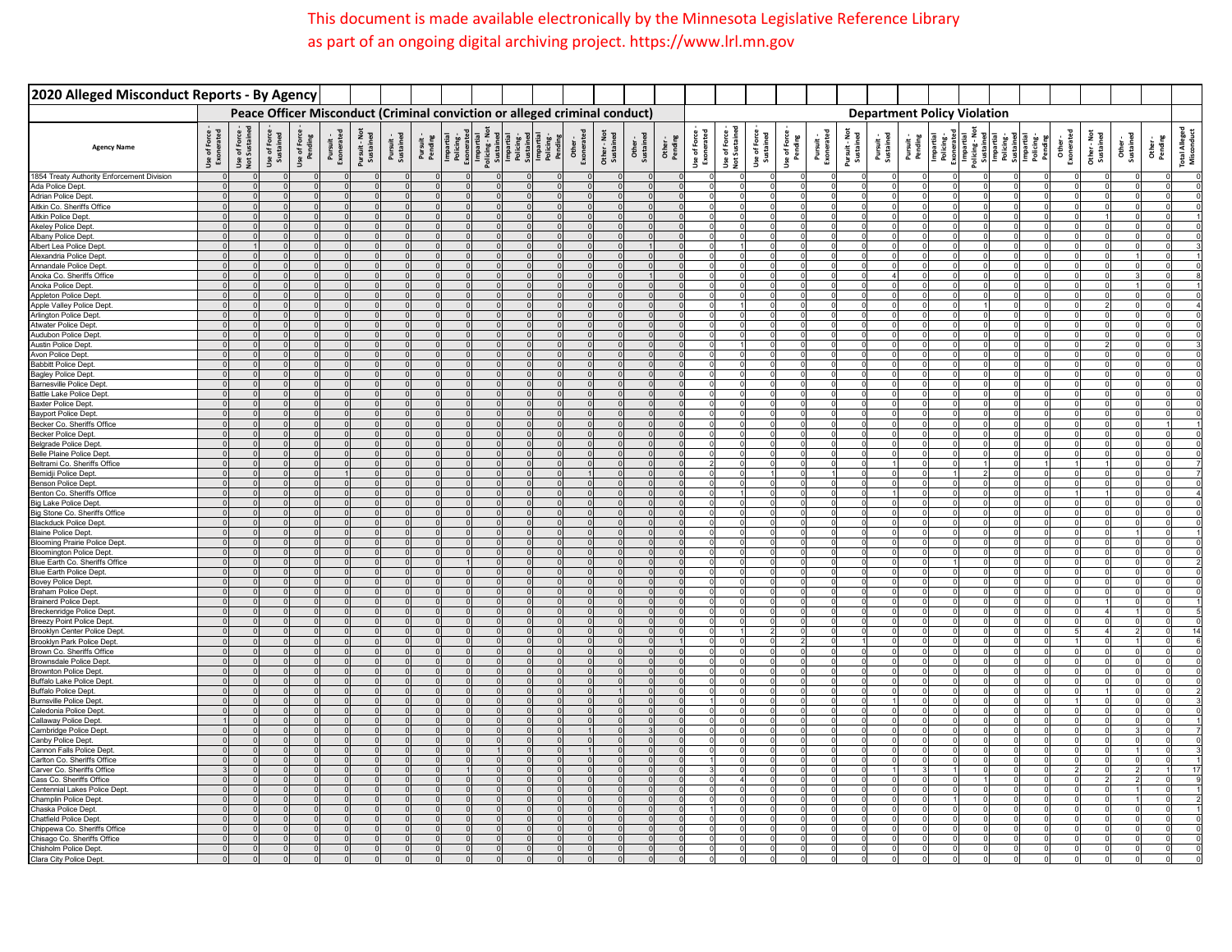## This document is made available electronically by the Minnesota Legislative Reference Library as part of an ongoing digital archiving project. https://www.lrl.mn.gov

| 2020 Alleged Misconduct Reports - By Agency                       |                              |            |                                                               |                                                    |          |  |  |                                                                                                                                                                                                                                                                                                                                                                                                                                                                                                                          |  |                                            |  |  |  |  |                                    |  |  |  |    |
|-------------------------------------------------------------------|------------------------------|------------|---------------------------------------------------------------|----------------------------------------------------|----------|--|--|--------------------------------------------------------------------------------------------------------------------------------------------------------------------------------------------------------------------------------------------------------------------------------------------------------------------------------------------------------------------------------------------------------------------------------------------------------------------------------------------------------------------------|--|--------------------------------------------|--|--|--|--|------------------------------------|--|--|--|----|
|                                                                   |                              |            |                                                               |                                                    |          |  |  | Peace Officer Misconduct (Criminal conviction or alleged criminal conduct)                                                                                                                                                                                                                                                                                                                                                                                                                                               |  |                                            |  |  |  |  | <b>Department Policy Violation</b> |  |  |  |    |
| <b>Agency Name</b>                                                | Use of Force -<br>Exonerated |            | Use of Force<br>Not Sustaine<br>Not Sustained<br>Use of Force | Use of Force<br>Pending<br>Pursuit -<br>Exonerated |          |  |  | $\begin{tabular}{l c c c c c} \hline \text{horit} & \text{bot} \\ \hline \text{D} & \text{invariant} \\ \hline \text{D} & \text{invariant} \\ \hline \text{D} & \text{invariant} \\ \hline \text{D} & \text{invariant} \\ \hline \text{D} & \text{invariant} \\ \hline \text{D} & \text{invariant} \\ \hline \text{D} & \text{invariant} \\ \hline \text{D} & \text{invariant} \\ \hline \text{D} & \text{invariant} \\ \hline \text{D} & \text{invariant} \\ \hline \text{D} & \text{invariant} \\ \hline \text{D} & \$ |  | Other -<br>Sustained<br>Pending<br>Pending |  |  |  |  |                                    |  |  |  |    |
| 1854 Treaty Authority Enforcement Division                        |                              | $\sqrt{ }$ | $\Omega$                                                      |                                                    |          |  |  |                                                                                                                                                                                                                                                                                                                                                                                                                                                                                                                          |  |                                            |  |  |  |  |                                    |  |  |  |    |
| Ada Police Dept.<br>Adrian Police Dept.                           | $\Omega$                     | $\sqrt{2}$ | $\Omega$                                                      | $\Omega$                                           | $\Omega$ |  |  |                                                                                                                                                                                                                                                                                                                                                                                                                                                                                                                          |  |                                            |  |  |  |  |                                    |  |  |  |    |
| Aitkin Co. Sheriffs Office                                        |                              |            |                                                               |                                                    |          |  |  |                                                                                                                                                                                                                                                                                                                                                                                                                                                                                                                          |  |                                            |  |  |  |  |                                    |  |  |  |    |
| Aitkin Police Dept.                                               |                              |            |                                                               |                                                    |          |  |  |                                                                                                                                                                                                                                                                                                                                                                                                                                                                                                                          |  |                                            |  |  |  |  |                                    |  |  |  |    |
| <b>Akeley Police Dept</b>                                         |                              |            |                                                               |                                                    |          |  |  |                                                                                                                                                                                                                                                                                                                                                                                                                                                                                                                          |  |                                            |  |  |  |  |                                    |  |  |  |    |
| Albany Police Dept                                                |                              |            |                                                               |                                                    |          |  |  |                                                                                                                                                                                                                                                                                                                                                                                                                                                                                                                          |  |                                            |  |  |  |  |                                    |  |  |  |    |
| Albert Lea Police Dept                                            |                              |            |                                                               |                                                    |          |  |  |                                                                                                                                                                                                                                                                                                                                                                                                                                                                                                                          |  |                                            |  |  |  |  |                                    |  |  |  |    |
| Alexandria Police Dept                                            |                              |            |                                                               |                                                    |          |  |  |                                                                                                                                                                                                                                                                                                                                                                                                                                                                                                                          |  |                                            |  |  |  |  |                                    |  |  |  |    |
| Annandale Police Dept                                             |                              |            |                                                               |                                                    |          |  |  |                                                                                                                                                                                                                                                                                                                                                                                                                                                                                                                          |  |                                            |  |  |  |  |                                    |  |  |  |    |
| Anoka Co. Sheriffs Office                                         |                              |            |                                                               |                                                    |          |  |  |                                                                                                                                                                                                                                                                                                                                                                                                                                                                                                                          |  |                                            |  |  |  |  |                                    |  |  |  |    |
| Anoka Police Dept.<br><b>Appleton Police Dept</b>                 |                              |            |                                                               |                                                    |          |  |  |                                                                                                                                                                                                                                                                                                                                                                                                                                                                                                                          |  |                                            |  |  |  |  |                                    |  |  |  |    |
| Apple Valley Police Dept                                          |                              |            |                                                               |                                                    |          |  |  |                                                                                                                                                                                                                                                                                                                                                                                                                                                                                                                          |  |                                            |  |  |  |  |                                    |  |  |  |    |
| Arlington Police Dept                                             |                              |            |                                                               |                                                    |          |  |  |                                                                                                                                                                                                                                                                                                                                                                                                                                                                                                                          |  |                                            |  |  |  |  |                                    |  |  |  |    |
| <b>Atwater Police Dept</b>                                        |                              |            |                                                               |                                                    |          |  |  |                                                                                                                                                                                                                                                                                                                                                                                                                                                                                                                          |  |                                            |  |  |  |  |                                    |  |  |  |    |
| Audubon Police Dept                                               |                              |            |                                                               |                                                    |          |  |  |                                                                                                                                                                                                                                                                                                                                                                                                                                                                                                                          |  |                                            |  |  |  |  |                                    |  |  |  |    |
| Austin Police Dept.                                               |                              |            |                                                               |                                                    |          |  |  |                                                                                                                                                                                                                                                                                                                                                                                                                                                                                                                          |  |                                            |  |  |  |  |                                    |  |  |  |    |
| Avon Police Dept.<br>Babbitt Police Dept.                         |                              |            |                                                               |                                                    |          |  |  |                                                                                                                                                                                                                                                                                                                                                                                                                                                                                                                          |  |                                            |  |  |  |  |                                    |  |  |  |    |
| Bagley Police Dept.                                               |                              |            |                                                               |                                                    |          |  |  |                                                                                                                                                                                                                                                                                                                                                                                                                                                                                                                          |  |                                            |  |  |  |  |                                    |  |  |  |    |
| <b>Barnesville Police Dept</b>                                    |                              |            |                                                               |                                                    |          |  |  |                                                                                                                                                                                                                                                                                                                                                                                                                                                                                                                          |  |                                            |  |  |  |  |                                    |  |  |  |    |
| Battle Lake Police Dept                                           |                              |            |                                                               |                                                    |          |  |  |                                                                                                                                                                                                                                                                                                                                                                                                                                                                                                                          |  |                                            |  |  |  |  |                                    |  |  |  |    |
| Baxter Police Dept.                                               |                              |            |                                                               |                                                    |          |  |  |                                                                                                                                                                                                                                                                                                                                                                                                                                                                                                                          |  |                                            |  |  |  |  |                                    |  |  |  |    |
| Bayport Police Dept.                                              |                              |            |                                                               |                                                    |          |  |  |                                                                                                                                                                                                                                                                                                                                                                                                                                                                                                                          |  |                                            |  |  |  |  |                                    |  |  |  |    |
| Becker Co. Sheriffs Office                                        |                              |            |                                                               |                                                    |          |  |  |                                                                                                                                                                                                                                                                                                                                                                                                                                                                                                                          |  |                                            |  |  |  |  |                                    |  |  |  |    |
| <b>Becker Police Dept.</b>                                        |                              |            |                                                               |                                                    |          |  |  |                                                                                                                                                                                                                                                                                                                                                                                                                                                                                                                          |  |                                            |  |  |  |  |                                    |  |  |  |    |
| <b>Belgrade Police Dept</b><br><b>Belle Plaine Police Dept</b>    |                              |            |                                                               |                                                    | $\Omega$ |  |  |                                                                                                                                                                                                                                                                                                                                                                                                                                                                                                                          |  |                                            |  |  |  |  |                                    |  |  |  |    |
| Beltrami Co. Sheriffs Office                                      |                              |            |                                                               |                                                    |          |  |  |                                                                                                                                                                                                                                                                                                                                                                                                                                                                                                                          |  |                                            |  |  |  |  |                                    |  |  |  |    |
| Bemidji Police Dept                                               |                              |            |                                                               |                                                    |          |  |  |                                                                                                                                                                                                                                                                                                                                                                                                                                                                                                                          |  |                                            |  |  |  |  |                                    |  |  |  |    |
| <b>Benson Police Dept</b>                                         |                              |            |                                                               |                                                    |          |  |  |                                                                                                                                                                                                                                                                                                                                                                                                                                                                                                                          |  |                                            |  |  |  |  |                                    |  |  |  |    |
| Benton Co. Sheriffs Offic                                         |                              |            |                                                               |                                                    |          |  |  |                                                                                                                                                                                                                                                                                                                                                                                                                                                                                                                          |  |                                            |  |  |  |  |                                    |  |  |  |    |
| <b>Big Lake Police Dept</b>                                       |                              |            |                                                               |                                                    |          |  |  |                                                                                                                                                                                                                                                                                                                                                                                                                                                                                                                          |  |                                            |  |  |  |  |                                    |  |  |  |    |
| Big Stone Co. Sheriffs Office                                     |                              |            |                                                               |                                                    |          |  |  |                                                                                                                                                                                                                                                                                                                                                                                                                                                                                                                          |  |                                            |  |  |  |  |                                    |  |  |  |    |
| <b>Blackduck Police Dept</b>                                      |                              |            |                                                               |                                                    |          |  |  |                                                                                                                                                                                                                                                                                                                                                                                                                                                                                                                          |  |                                            |  |  |  |  |                                    |  |  |  |    |
| <b>Blaine Police Dept.</b><br><b>Blooming Prairie Police Dept</b> |                              |            |                                                               |                                                    |          |  |  |                                                                                                                                                                                                                                                                                                                                                                                                                                                                                                                          |  |                                            |  |  |  |  |                                    |  |  |  |    |
| <b>Bloomington Police Dept.</b>                                   |                              |            |                                                               |                                                    |          |  |  |                                                                                                                                                                                                                                                                                                                                                                                                                                                                                                                          |  |                                            |  |  |  |  |                                    |  |  |  |    |
| Blue Earth Co. Sheriffs Office                                    |                              |            |                                                               |                                                    |          |  |  |                                                                                                                                                                                                                                                                                                                                                                                                                                                                                                                          |  |                                            |  |  |  |  |                                    |  |  |  |    |
| Blue Earth Police Dept.                                           |                              |            |                                                               |                                                    |          |  |  |                                                                                                                                                                                                                                                                                                                                                                                                                                                                                                                          |  |                                            |  |  |  |  |                                    |  |  |  |    |
| Bovey Police Dept.                                                |                              |            |                                                               |                                                    |          |  |  |                                                                                                                                                                                                                                                                                                                                                                                                                                                                                                                          |  |                                            |  |  |  |  |                                    |  |  |  |    |
| Braham Police Dept.                                               |                              |            |                                                               |                                                    |          |  |  |                                                                                                                                                                                                                                                                                                                                                                                                                                                                                                                          |  |                                            |  |  |  |  |                                    |  |  |  |    |
| <b>Brainerd Police Dept.</b>                                      |                              |            |                                                               |                                                    |          |  |  |                                                                                                                                                                                                                                                                                                                                                                                                                                                                                                                          |  |                                            |  |  |  |  |                                    |  |  |  |    |
| <b>Breckenridge Police Dept</b><br>Breezy Point Police Dept.      |                              |            |                                                               |                                                    |          |  |  |                                                                                                                                                                                                                                                                                                                                                                                                                                                                                                                          |  |                                            |  |  |  |  |                                    |  |  |  |    |
| <b>Brooklyn Center Police Dept</b>                                |                              |            |                                                               |                                                    |          |  |  |                                                                                                                                                                                                                                                                                                                                                                                                                                                                                                                          |  |                                            |  |  |  |  |                                    |  |  |  | 14 |
| Brooklyn Park Police Dept.                                        |                              |            |                                                               |                                                    |          |  |  |                                                                                                                                                                                                                                                                                                                                                                                                                                                                                                                          |  |                                            |  |  |  |  |                                    |  |  |  |    |
| Brown Co. Sheriffs Office                                         |                              |            |                                                               |                                                    |          |  |  |                                                                                                                                                                                                                                                                                                                                                                                                                                                                                                                          |  |                                            |  |  |  |  |                                    |  |  |  |    |
| Brownsdale Police Dept.                                           |                              |            |                                                               |                                                    |          |  |  |                                                                                                                                                                                                                                                                                                                                                                                                                                                                                                                          |  |                                            |  |  |  |  |                                    |  |  |  |    |
| <b>Brownton Police Dept</b>                                       |                              |            |                                                               |                                                    |          |  |  |                                                                                                                                                                                                                                                                                                                                                                                                                                                                                                                          |  |                                            |  |  |  |  |                                    |  |  |  |    |
| <b>Buffalo Lake Police Dep</b>                                    |                              |            |                                                               |                                                    |          |  |  |                                                                                                                                                                                                                                                                                                                                                                                                                                                                                                                          |  |                                            |  |  |  |  |                                    |  |  |  |    |
| <b>Buffalo Police Dept.</b><br><b>Burnsville Police Dept</b>      |                              |            |                                                               |                                                    |          |  |  |                                                                                                                                                                                                                                                                                                                                                                                                                                                                                                                          |  |                                            |  |  |  |  |                                    |  |  |  |    |
| Caledonia Police Dept                                             |                              |            |                                                               |                                                    |          |  |  |                                                                                                                                                                                                                                                                                                                                                                                                                                                                                                                          |  |                                            |  |  |  |  |                                    |  |  |  |    |
| Callaway Police Dept.                                             |                              |            |                                                               |                                                    |          |  |  |                                                                                                                                                                                                                                                                                                                                                                                                                                                                                                                          |  |                                            |  |  |  |  |                                    |  |  |  |    |
| Cambridge Police Dept                                             |                              |            |                                                               |                                                    |          |  |  |                                                                                                                                                                                                                                                                                                                                                                                                                                                                                                                          |  |                                            |  |  |  |  |                                    |  |  |  |    |
| Canby Police Dept                                                 |                              |            |                                                               |                                                    |          |  |  |                                                                                                                                                                                                                                                                                                                                                                                                                                                                                                                          |  |                                            |  |  |  |  |                                    |  |  |  |    |
| Cannon Falls Police Dep                                           |                              |            |                                                               |                                                    |          |  |  |                                                                                                                                                                                                                                                                                                                                                                                                                                                                                                                          |  |                                            |  |  |  |  |                                    |  |  |  |    |
| Carlton Co. Sheriffs Office                                       |                              |            |                                                               |                                                    |          |  |  |                                                                                                                                                                                                                                                                                                                                                                                                                                                                                                                          |  |                                            |  |  |  |  |                                    |  |  |  |    |
| Carver Co. Sheriffs Office                                        |                              |            |                                                               |                                                    |          |  |  |                                                                                                                                                                                                                                                                                                                                                                                                                                                                                                                          |  |                                            |  |  |  |  |                                    |  |  |  |    |
| Cass Co. Sheriffs Office                                          |                              |            |                                                               |                                                    |          |  |  |                                                                                                                                                                                                                                                                                                                                                                                                                                                                                                                          |  |                                            |  |  |  |  |                                    |  |  |  |    |
| Centennial Lakes Police Dept<br>Champlin Police Dept.             |                              |            |                                                               |                                                    |          |  |  |                                                                                                                                                                                                                                                                                                                                                                                                                                                                                                                          |  |                                            |  |  |  |  |                                    |  |  |  |    |
|                                                                   |                              |            |                                                               |                                                    |          |  |  |                                                                                                                                                                                                                                                                                                                                                                                                                                                                                                                          |  |                                            |  |  |  |  |                                    |  |  |  |    |
| Chaska Police Dept.<br>Chatfield Police Dept.                     |                              |            |                                                               |                                                    |          |  |  |                                                                                                                                                                                                                                                                                                                                                                                                                                                                                                                          |  |                                            |  |  |  |  |                                    |  |  |  |    |
| Chippewa Co. Sheriffs Offic                                       |                              |            |                                                               |                                                    |          |  |  |                                                                                                                                                                                                                                                                                                                                                                                                                                                                                                                          |  |                                            |  |  |  |  |                                    |  |  |  |    |
| Chisago Co. Sheriffs Office                                       |                              |            |                                                               |                                                    |          |  |  |                                                                                                                                                                                                                                                                                                                                                                                                                                                                                                                          |  |                                            |  |  |  |  |                                    |  |  |  |    |
| Chisholm Police Dept                                              |                              |            |                                                               |                                                    |          |  |  |                                                                                                                                                                                                                                                                                                                                                                                                                                                                                                                          |  |                                            |  |  |  |  |                                    |  |  |  |    |
| Clara City Police Dept                                            |                              |            |                                                               |                                                    |          |  |  |                                                                                                                                                                                                                                                                                                                                                                                                                                                                                                                          |  |                                            |  |  |  |  |                                    |  |  |  |    |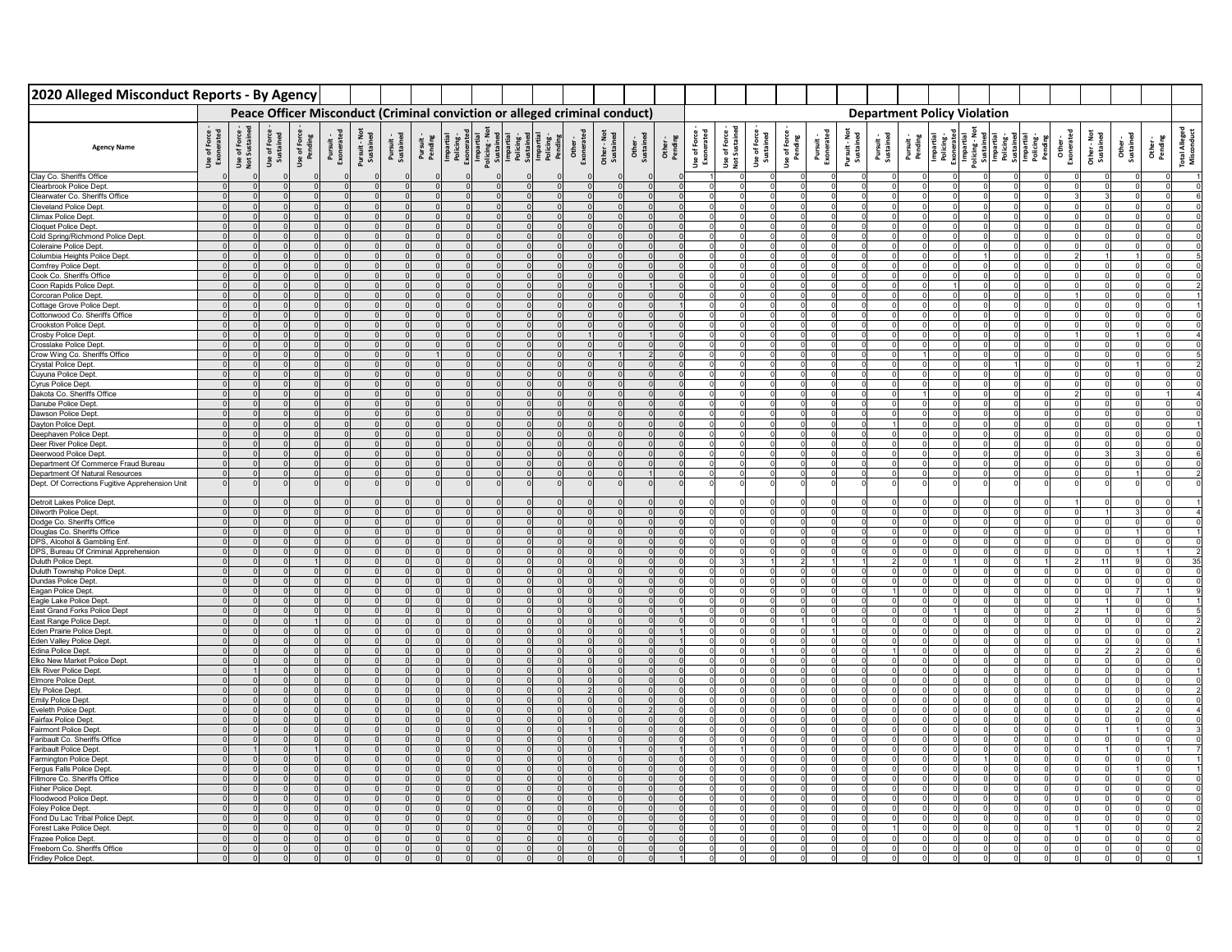| 2020 Alleged Misconduct Reports - By Agency                                        |                            |                                 |                           |  |  |                                                                            |  |  |  |                    |                            |                            |                           |                        |                         |                            |  |                                                                                                                                                                                                                                                                                                                                                                                                                                       |  |  |  |  |
|------------------------------------------------------------------------------------|----------------------------|---------------------------------|---------------------------|--|--|----------------------------------------------------------------------------|--|--|--|--------------------|----------------------------|----------------------------|---------------------------|------------------------|-------------------------|----------------------------|--|---------------------------------------------------------------------------------------------------------------------------------------------------------------------------------------------------------------------------------------------------------------------------------------------------------------------------------------------------------------------------------------------------------------------------------------|--|--|--|--|
|                                                                                    |                            |                                 |                           |  |  | Peace Officer Misconduct (Criminal conviction or alleged criminal conduct) |  |  |  |                    |                            |                            |                           |                        |                         |                            |  | <b>Department Policy Violation</b>                                                                                                                                                                                                                                                                                                                                                                                                    |  |  |  |  |
| <b>Agency Name</b>                                                                 | Use of Force<br>Exonerated | Use of Force -<br>Not Sustained | Use of Force<br>Sustained |  |  |                                                                            |  |  |  | Other -<br>Pending | Use of Force<br>Exonerated | Use of Forc<br>Not Sustair | Use of Force<br>Sustained | Use of Forc<br>Pending | Pursuit -<br>Exonerated | Pursuit - Not<br>Sustained |  | $\begin{tabular}{l c c c c c} \hline \textbf{P} & \textbf{F} & \textbf{F} & \textbf{F} & \textbf{F} \\ \hline \textbf{D} & \textbf{F} & \textbf{F} & \textbf{F} & \textbf{F} \\ \hline \textbf{D} & \textbf{F} & \textbf{F} & \textbf{F} & \textbf{F} \\ \hline \textbf{D} & \textbf{F} & \textbf{F} & \textbf{F} & \textbf{F} \\ \hline \textbf{D} & \textbf{D} & \textbf{F} & \textbf{F} & \textbf{F} \\ \hline \textbf{D} & \text$ |  |  |  |  |
| Clay Co. Sheriffs Office                                                           |                            |                                 |                           |  |  |                                                                            |  |  |  |                    |                            |                            |                           |                        |                         |                            |  |                                                                                                                                                                                                                                                                                                                                                                                                                                       |  |  |  |  |
| Clearbrook Police Dept                                                             |                            |                                 |                           |  |  |                                                                            |  |  |  |                    |                            |                            |                           |                        |                         |                            |  |                                                                                                                                                                                                                                                                                                                                                                                                                                       |  |  |  |  |
| Clearwater Co. Sheriffs Office                                                     |                            | $\Omega$                        |                           |  |  |                                                                            |  |  |  |                    |                            |                            |                           |                        |                         |                            |  |                                                                                                                                                                                                                                                                                                                                                                                                                                       |  |  |  |  |
| Cleveland Police Dept.<br>Climax Police Dept                                       |                            | $\Omega$<br>$\Omega$            |                           |  |  |                                                                            |  |  |  |                    |                            |                            |                           |                        |                         |                            |  |                                                                                                                                                                                                                                                                                                                                                                                                                                       |  |  |  |  |
| <b>Cloquet Police Dept</b>                                                         |                            |                                 |                           |  |  |                                                                            |  |  |  |                    |                            |                            |                           |                        |                         |                            |  |                                                                                                                                                                                                                                                                                                                                                                                                                                       |  |  |  |  |
| Cold Spring/Richmond Police Dept.                                                  |                            |                                 |                           |  |  |                                                                            |  |  |  |                    |                            |                            |                           |                        |                         |                            |  |                                                                                                                                                                                                                                                                                                                                                                                                                                       |  |  |  |  |
| Coleraine Police Dept.                                                             |                            |                                 |                           |  |  |                                                                            |  |  |  |                    |                            |                            |                           |                        |                         |                            |  |                                                                                                                                                                                                                                                                                                                                                                                                                                       |  |  |  |  |
| Columbia Heights Police Dept.                                                      |                            |                                 |                           |  |  |                                                                            |  |  |  |                    |                            |                            |                           |                        |                         |                            |  |                                                                                                                                                                                                                                                                                                                                                                                                                                       |  |  |  |  |
| Comfrey Police Dept.                                                               |                            |                                 |                           |  |  |                                                                            |  |  |  |                    |                            |                            |                           |                        |                         |                            |  |                                                                                                                                                                                                                                                                                                                                                                                                                                       |  |  |  |  |
| Cook Co. Sheriffs Office                                                           |                            |                                 |                           |  |  |                                                                            |  |  |  |                    |                            |                            |                           |                        |                         |                            |  |                                                                                                                                                                                                                                                                                                                                                                                                                                       |  |  |  |  |
| Coon Rapids Police Dept<br>Corcoran Police Dept.                                   |                            |                                 |                           |  |  |                                                                            |  |  |  |                    |                            |                            |                           |                        |                         |                            |  |                                                                                                                                                                                                                                                                                                                                                                                                                                       |  |  |  |  |
| Cottage Grove Police Dept                                                          |                            |                                 |                           |  |  |                                                                            |  |  |  |                    |                            |                            |                           |                        |                         |                            |  |                                                                                                                                                                                                                                                                                                                                                                                                                                       |  |  |  |  |
| Cottonwood Co. Sheriffs Office                                                     |                            |                                 |                           |  |  |                                                                            |  |  |  |                    |                            |                            |                           |                        |                         |                            |  |                                                                                                                                                                                                                                                                                                                                                                                                                                       |  |  |  |  |
| <b>Crookston Police Dept</b>                                                       |                            |                                 |                           |  |  |                                                                            |  |  |  |                    |                            |                            |                           |                        |                         |                            |  |                                                                                                                                                                                                                                                                                                                                                                                                                                       |  |  |  |  |
| Crosby Police Dept.<br>Crosslake Police Dept.                                      |                            |                                 |                           |  |  |                                                                            |  |  |  |                    |                            |                            |                           |                        |                         |                            |  |                                                                                                                                                                                                                                                                                                                                                                                                                                       |  |  |  |  |
| Crow Wing Co. Sheriffs Office                                                      |                            |                                 |                           |  |  |                                                                            |  |  |  |                    |                            |                            |                           |                        |                         |                            |  |                                                                                                                                                                                                                                                                                                                                                                                                                                       |  |  |  |  |
| Crystal Police Dept.                                                               |                            |                                 |                           |  |  |                                                                            |  |  |  |                    |                            |                            |                           |                        |                         |                            |  |                                                                                                                                                                                                                                                                                                                                                                                                                                       |  |  |  |  |
| Cuyuna Police Dept                                                                 |                            |                                 |                           |  |  |                                                                            |  |  |  |                    |                            |                            |                           |                        |                         |                            |  |                                                                                                                                                                                                                                                                                                                                                                                                                                       |  |  |  |  |
| Cyrus Police Dept.                                                                 |                            |                                 |                           |  |  |                                                                            |  |  |  |                    |                            |                            |                           |                        |                         |                            |  |                                                                                                                                                                                                                                                                                                                                                                                                                                       |  |  |  |  |
| Dakota Co. Sheriffs Office                                                         |                            |                                 |                           |  |  |                                                                            |  |  |  |                    |                            |                            |                           |                        |                         |                            |  |                                                                                                                                                                                                                                                                                                                                                                                                                                       |  |  |  |  |
| Danube Police Dept.<br>Dawson Police Dept                                          |                            |                                 |                           |  |  |                                                                            |  |  |  |                    |                            |                            |                           |                        |                         |                            |  |                                                                                                                                                                                                                                                                                                                                                                                                                                       |  |  |  |  |
| Dayton Police Dept.                                                                |                            |                                 |                           |  |  |                                                                            |  |  |  |                    |                            |                            |                           |                        |                         |                            |  |                                                                                                                                                                                                                                                                                                                                                                                                                                       |  |  |  |  |
| Deephaven Police Dept                                                              |                            |                                 |                           |  |  |                                                                            |  |  |  |                    |                            |                            |                           |                        |                         |                            |  |                                                                                                                                                                                                                                                                                                                                                                                                                                       |  |  |  |  |
| Deer River Police Dept.                                                            |                            |                                 |                           |  |  |                                                                            |  |  |  |                    |                            |                            |                           |                        |                         |                            |  |                                                                                                                                                                                                                                                                                                                                                                                                                                       |  |  |  |  |
| Deerwood Police Dept.                                                              |                            | $\Omega$                        |                           |  |  |                                                                            |  |  |  |                    |                            |                            |                           |                        |                         |                            |  |                                                                                                                                                                                                                                                                                                                                                                                                                                       |  |  |  |  |
| Department Of Commerce Fraud Bureau                                                |                            |                                 |                           |  |  |                                                                            |  |  |  |                    |                            |                            |                           |                        |                         |                            |  |                                                                                                                                                                                                                                                                                                                                                                                                                                       |  |  |  |  |
| Department Of Natural Resources<br>Dept. Of Corrections Fugitive Apprehension Unit |                            |                                 |                           |  |  |                                                                            |  |  |  |                    |                            |                            |                           |                        |                         |                            |  |                                                                                                                                                                                                                                                                                                                                                                                                                                       |  |  |  |  |
| Detroit Lakes Police Dept.                                                         |                            |                                 |                           |  |  |                                                                            |  |  |  |                    |                            |                            |                           |                        |                         |                            |  |                                                                                                                                                                                                                                                                                                                                                                                                                                       |  |  |  |  |
| Dilworth Police Dept                                                               |                            |                                 |                           |  |  |                                                                            |  |  |  |                    |                            |                            |                           |                        |                         |                            |  |                                                                                                                                                                                                                                                                                                                                                                                                                                       |  |  |  |  |
| Dodge Co. Sheriffs Office                                                          |                            |                                 |                           |  |  |                                                                            |  |  |  |                    |                            |                            |                           |                        |                         |                            |  |                                                                                                                                                                                                                                                                                                                                                                                                                                       |  |  |  |  |
| Douglas Co. Sheriffs Office                                                        |                            |                                 |                           |  |  |                                                                            |  |  |  |                    |                            |                            |                           |                        |                         |                            |  |                                                                                                                                                                                                                                                                                                                                                                                                                                       |  |  |  |  |
| DPS, Alcohol & Gambling Enf.                                                       |                            |                                 |                           |  |  |                                                                            |  |  |  |                    |                            |                            |                           |                        |                         |                            |  |                                                                                                                                                                                                                                                                                                                                                                                                                                       |  |  |  |  |
| DPS, Bureau Of Criminal Apprehension<br>Duluth Police Dept.                        |                            |                                 |                           |  |  |                                                                            |  |  |  |                    |                            |                            |                           |                        |                         |                            |  |                                                                                                                                                                                                                                                                                                                                                                                                                                       |  |  |  |  |
| Duluth Township Police Dept.                                                       |                            |                                 |                           |  |  |                                                                            |  |  |  |                    |                            |                            |                           |                        |                         |                            |  |                                                                                                                                                                                                                                                                                                                                                                                                                                       |  |  |  |  |
| Dundas Police Dept.                                                                |                            |                                 |                           |  |  |                                                                            |  |  |  |                    |                            |                            |                           |                        |                         |                            |  |                                                                                                                                                                                                                                                                                                                                                                                                                                       |  |  |  |  |
| Eagan Police Dept.                                                                 |                            |                                 |                           |  |  |                                                                            |  |  |  |                    |                            |                            |                           |                        |                         |                            |  |                                                                                                                                                                                                                                                                                                                                                                                                                                       |  |  |  |  |
| Eagle Lake Police Dept.                                                            |                            |                                 |                           |  |  |                                                                            |  |  |  |                    |                            |                            |                           |                        |                         |                            |  |                                                                                                                                                                                                                                                                                                                                                                                                                                       |  |  |  |  |
| East Grand Forks Police Dept<br>East Range Police Dept.                            |                            |                                 |                           |  |  |                                                                            |  |  |  |                    |                            |                            |                           |                        |                         |                            |  |                                                                                                                                                                                                                                                                                                                                                                                                                                       |  |  |  |  |
| Eden Prairie Police Dept                                                           |                            |                                 |                           |  |  |                                                                            |  |  |  |                    |                            |                            |                           |                        |                         |                            |  |                                                                                                                                                                                                                                                                                                                                                                                                                                       |  |  |  |  |
| Eden Valley Police Dept.                                                           |                            |                                 |                           |  |  |                                                                            |  |  |  |                    |                            |                            |                           |                        |                         |                            |  |                                                                                                                                                                                                                                                                                                                                                                                                                                       |  |  |  |  |
| Edina Police Dept.                                                                 |                            |                                 |                           |  |  |                                                                            |  |  |  |                    |                            |                            |                           |                        |                         |                            |  |                                                                                                                                                                                                                                                                                                                                                                                                                                       |  |  |  |  |
| Elko New Market Police Dept<br>Elk River Police Dept                               |                            |                                 |                           |  |  |                                                                            |  |  |  |                    |                            |                            |                           |                        |                         |                            |  |                                                                                                                                                                                                                                                                                                                                                                                                                                       |  |  |  |  |
| <b>Elmore Police Dept</b>                                                          |                            |                                 |                           |  |  |                                                                            |  |  |  |                    |                            |                            |                           |                        |                         |                            |  |                                                                                                                                                                                                                                                                                                                                                                                                                                       |  |  |  |  |
| <b>Ely Police Dept</b>                                                             |                            |                                 |                           |  |  |                                                                            |  |  |  |                    |                            |                            |                           |                        |                         |                            |  |                                                                                                                                                                                                                                                                                                                                                                                                                                       |  |  |  |  |
| <b>Emily Police Dept</b>                                                           |                            |                                 |                           |  |  |                                                                            |  |  |  |                    |                            |                            |                           |                        |                         |                            |  |                                                                                                                                                                                                                                                                                                                                                                                                                                       |  |  |  |  |
| <b>Eveleth Police Dept</b>                                                         |                            |                                 |                           |  |  |                                                                            |  |  |  |                    |                            |                            |                           |                        |                         |                            |  |                                                                                                                                                                                                                                                                                                                                                                                                                                       |  |  |  |  |
| Fairfax Police Dept                                                                |                            |                                 |                           |  |  |                                                                            |  |  |  |                    |                            |                            |                           |                        |                         |                            |  |                                                                                                                                                                                                                                                                                                                                                                                                                                       |  |  |  |  |
| Fairmont Police Dept<br>Faribault Co. Sheriffs Office                              |                            |                                 |                           |  |  |                                                                            |  |  |  |                    |                            |                            |                           |                        |                         |                            |  |                                                                                                                                                                                                                                                                                                                                                                                                                                       |  |  |  |  |
| Faribault Police Dept.                                                             |                            |                                 |                           |  |  |                                                                            |  |  |  |                    |                            |                            |                           |                        |                         |                            |  |                                                                                                                                                                                                                                                                                                                                                                                                                                       |  |  |  |  |
| Farmington Police Dept                                                             |                            |                                 |                           |  |  |                                                                            |  |  |  |                    |                            |                            |                           |                        |                         |                            |  |                                                                                                                                                                                                                                                                                                                                                                                                                                       |  |  |  |  |
| Fergus Falls Police Dept                                                           |                            |                                 |                           |  |  |                                                                            |  |  |  |                    |                            |                            |                           |                        |                         |                            |  |                                                                                                                                                                                                                                                                                                                                                                                                                                       |  |  |  |  |
| Fillmore Co. Sheriffs Office<br>Fisher Police Dept.                                |                            |                                 |                           |  |  |                                                                            |  |  |  |                    |                            |                            |                           |                        |                         |                            |  |                                                                                                                                                                                                                                                                                                                                                                                                                                       |  |  |  |  |
| Floodwood Police Dept.                                                             |                            |                                 |                           |  |  |                                                                            |  |  |  |                    |                            |                            |                           |                        |                         |                            |  |                                                                                                                                                                                                                                                                                                                                                                                                                                       |  |  |  |  |
| Foley Police Dept.                                                                 |                            |                                 |                           |  |  |                                                                            |  |  |  |                    |                            |                            |                           |                        |                         |                            |  |                                                                                                                                                                                                                                                                                                                                                                                                                                       |  |  |  |  |
| Fond Du Lac Tribal Police Dept.                                                    |                            |                                 |                           |  |  |                                                                            |  |  |  |                    |                            |                            |                           |                        |                         |                            |  |                                                                                                                                                                                                                                                                                                                                                                                                                                       |  |  |  |  |
| Forest Lake Police Dept.                                                           |                            |                                 |                           |  |  |                                                                            |  |  |  |                    |                            |                            |                           |                        |                         |                            |  |                                                                                                                                                                                                                                                                                                                                                                                                                                       |  |  |  |  |
| Frazee Police Dept.<br>Freeborn Co. Sheriffs Office                                |                            |                                 |                           |  |  |                                                                            |  |  |  |                    |                            |                            |                           |                        |                         |                            |  |                                                                                                                                                                                                                                                                                                                                                                                                                                       |  |  |  |  |
| <b>Fridley Police Dept</b>                                                         |                            |                                 |                           |  |  |                                                                            |  |  |  |                    |                            |                            |                           |                        |                         |                            |  |                                                                                                                                                                                                                                                                                                                                                                                                                                       |  |  |  |  |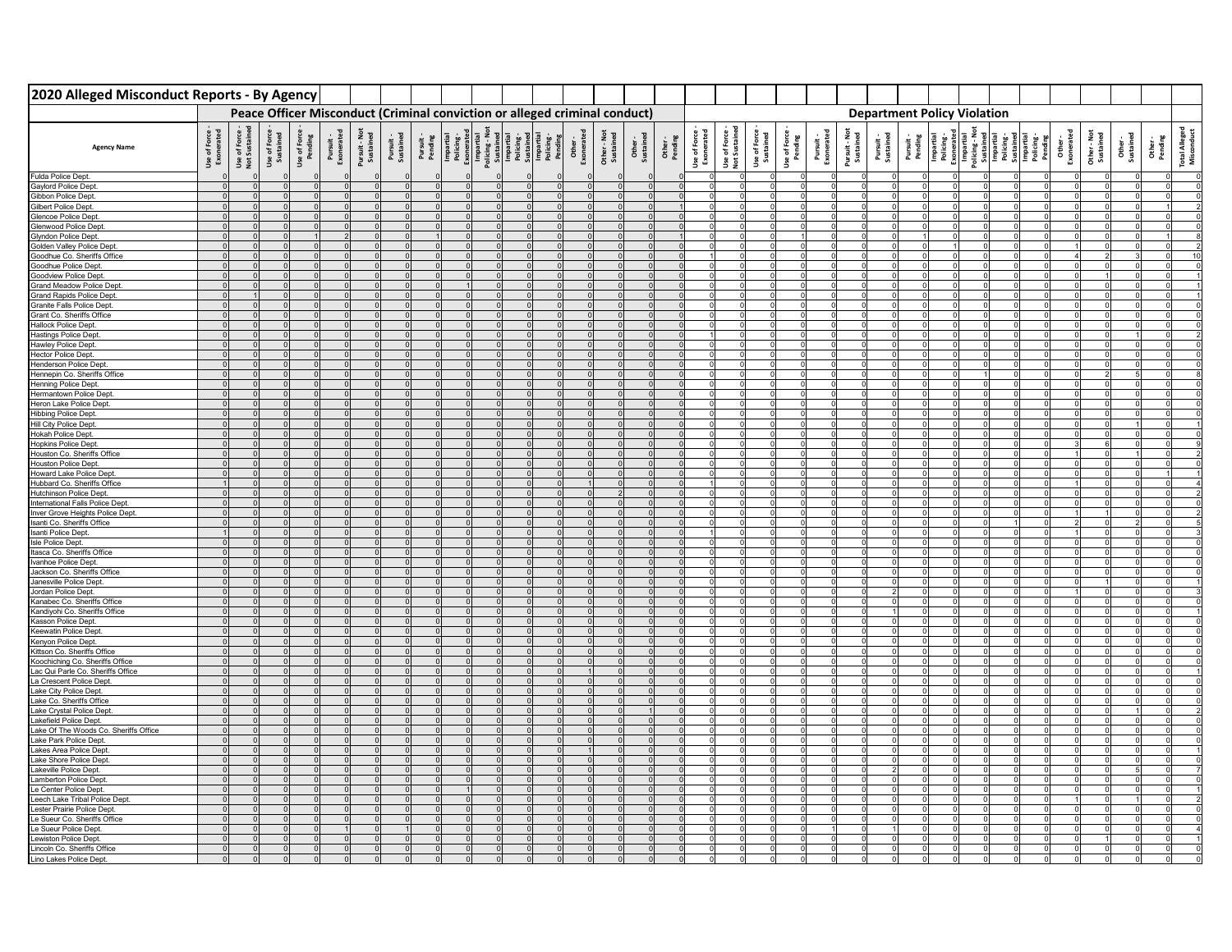| 2020 Alleged Misconduct Reports - By Agency                          |                            |                              |                           |          |  |  |                                                                                                                                                                                                                                                                                                                                                                                                                                                                                            |  |  |  |          |  |                                                                                          |                         |                         |                            |  |                                    |  |  |  |  |
|----------------------------------------------------------------------|----------------------------|------------------------------|---------------------------|----------|--|--|--------------------------------------------------------------------------------------------------------------------------------------------------------------------------------------------------------------------------------------------------------------------------------------------------------------------------------------------------------------------------------------------------------------------------------------------------------------------------------------------|--|--|--|----------|--|------------------------------------------------------------------------------------------|-------------------------|-------------------------|----------------------------|--|------------------------------------|--|--|--|--|
|                                                                      |                            |                              |                           |          |  |  | Peace Officer Misconduct (Criminal conviction or alleged criminal conduct)                                                                                                                                                                                                                                                                                                                                                                                                                 |  |  |  |          |  |                                                                                          |                         |                         |                            |  | <b>Department Policy Violation</b> |  |  |  |  |
| <b>Agency Name</b>                                                   | Use of Force<br>Exonerated | Use of Force<br>Not Sustaine | Use of Force<br>Sustained |          |  |  | $\begin{tabular}{l c c c c c c} \hline & \multicolumn{3}{c}{\textbf{Use of Fove}}\\ \hline \multicolumn{3}{c}{\textbf{Perdive}}\\ \hline \multicolumn{3}{c}{\textbf{Perdive}}\\ \hline \multicolumn{3}{c}{\textbf{Perdive}}\\ \hline \multicolumn{3}{c}{\textbf{Perdive}}\\ \hline \multicolumn{3}{c}{\textbf{Perdive}}\\ \hline \multicolumn{3}{c}{\textbf{Perdive}}\\ \hline \multicolumn{3}{c}{\textbf{Perdive}}\\ \hline \multicolumn{3}{c}{\textbf{Perdive}}\\ \hline \multicolumn{3$ |  |  |  |          |  | Use of Force<br>Exonerated<br>Use of Force<br>Not Sustained<br>Use of Force<br>Sustained | Use of Force<br>Pending | Pursuit -<br>Exonerated | Pursuit - Not<br>Sustained |  |                                    |  |  |  |  |
| Fulda Police Dept.                                                   |                            |                              |                           |          |  |  |                                                                                                                                                                                                                                                                                                                                                                                                                                                                                            |  |  |  | $\Omega$ |  |                                                                                          |                         |                         |                            |  |                                    |  |  |  |  |
| Gaylord Police Dept.                                                 |                            |                              |                           | $\Omega$ |  |  |                                                                                                                                                                                                                                                                                                                                                                                                                                                                                            |  |  |  | $\Omega$ |  |                                                                                          |                         |                         |                            |  |                                    |  |  |  |  |
| Gibbon Police Dept.<br>Gilbert Police Dept.                          |                            |                              |                           | $\Omega$ |  |  |                                                                                                                                                                                                                                                                                                                                                                                                                                                                                            |  |  |  | $\Omega$ |  |                                                                                          |                         |                         |                            |  |                                    |  |  |  |  |
| Glencoe Police Dept                                                  |                            |                              |                           |          |  |  |                                                                                                                                                                                                                                                                                                                                                                                                                                                                                            |  |  |  |          |  |                                                                                          |                         |                         |                            |  |                                    |  |  |  |  |
| Glenwood Police Dept                                                 |                            |                              |                           |          |  |  |                                                                                                                                                                                                                                                                                                                                                                                                                                                                                            |  |  |  |          |  |                                                                                          |                         |                         |                            |  |                                    |  |  |  |  |
| Glyndon Police Dept.                                                 |                            |                              |                           |          |  |  |                                                                                                                                                                                                                                                                                                                                                                                                                                                                                            |  |  |  |          |  |                                                                                          |                         |                         |                            |  |                                    |  |  |  |  |
| Golden Valley Police Dept                                            |                            |                              |                           |          |  |  |                                                                                                                                                                                                                                                                                                                                                                                                                                                                                            |  |  |  |          |  |                                                                                          |                         |                         |                            |  |                                    |  |  |  |  |
| Goodhue Co. Sheriffs Office<br>Goodhue Police Dept.                  |                            |                              |                           |          |  |  |                                                                                                                                                                                                                                                                                                                                                                                                                                                                                            |  |  |  |          |  |                                                                                          |                         |                         |                            |  |                                    |  |  |  |  |
| Goodview Police Dept                                                 |                            |                              |                           |          |  |  |                                                                                                                                                                                                                                                                                                                                                                                                                                                                                            |  |  |  |          |  |                                                                                          |                         |                         |                            |  |                                    |  |  |  |  |
| Grand Meadow Police Dep                                              |                            |                              |                           |          |  |  |                                                                                                                                                                                                                                                                                                                                                                                                                                                                                            |  |  |  |          |  |                                                                                          |                         |                         |                            |  |                                    |  |  |  |  |
| <b>Grand Rapids Police De</b>                                        |                            |                              |                           |          |  |  |                                                                                                                                                                                                                                                                                                                                                                                                                                                                                            |  |  |  |          |  |                                                                                          |                         |                         |                            |  |                                    |  |  |  |  |
| Granite Falls Police Dep<br>Grant Co. Sheriffs Office                |                            |                              |                           |          |  |  |                                                                                                                                                                                                                                                                                                                                                                                                                                                                                            |  |  |  |          |  |                                                                                          |                         |                         |                            |  |                                    |  |  |  |  |
| <b>Hallock Police Dept</b>                                           |                            |                              |                           |          |  |  |                                                                                                                                                                                                                                                                                                                                                                                                                                                                                            |  |  |  |          |  |                                                                                          |                         |                         |                            |  |                                    |  |  |  |  |
| <b>Hastings Police Dept</b>                                          |                            |                              |                           |          |  |  |                                                                                                                                                                                                                                                                                                                                                                                                                                                                                            |  |  |  |          |  |                                                                                          |                         |                         |                            |  |                                    |  |  |  |  |
| Hawley Police Dept.                                                  |                            |                              |                           |          |  |  |                                                                                                                                                                                                                                                                                                                                                                                                                                                                                            |  |  |  |          |  |                                                                                          |                         |                         |                            |  |                                    |  |  |  |  |
| Hector Police Dept.                                                  |                            |                              |                           |          |  |  |                                                                                                                                                                                                                                                                                                                                                                                                                                                                                            |  |  |  |          |  |                                                                                          |                         |                         |                            |  |                                    |  |  |  |  |
| Henderson Police Dept<br>Hennepin Co. Sheriffs Office                |                            |                              |                           |          |  |  |                                                                                                                                                                                                                                                                                                                                                                                                                                                                                            |  |  |  |          |  |                                                                                          |                         |                         |                            |  |                                    |  |  |  |  |
| Henning Police Dept.                                                 |                            |                              |                           |          |  |  |                                                                                                                                                                                                                                                                                                                                                                                                                                                                                            |  |  |  |          |  |                                                                                          |                         |                         |                            |  |                                    |  |  |  |  |
| Hermantown Police Dept                                               |                            |                              |                           |          |  |  |                                                                                                                                                                                                                                                                                                                                                                                                                                                                                            |  |  |  |          |  |                                                                                          |                         |                         |                            |  |                                    |  |  |  |  |
| Heron Lake Police Dept                                               |                            |                              |                           |          |  |  |                                                                                                                                                                                                                                                                                                                                                                                                                                                                                            |  |  |  |          |  |                                                                                          |                         |                         |                            |  |                                    |  |  |  |  |
| <b>Hibbing Police Dept</b><br>Hill City Police Dept.                 |                            |                              |                           |          |  |  |                                                                                                                                                                                                                                                                                                                                                                                                                                                                                            |  |  |  |          |  |                                                                                          |                         |                         |                            |  |                                    |  |  |  |  |
| Hokah Police Dept.                                                   |                            |                              |                           |          |  |  |                                                                                                                                                                                                                                                                                                                                                                                                                                                                                            |  |  |  |          |  |                                                                                          |                         |                         |                            |  |                                    |  |  |  |  |
| Hopkins Police Dept.                                                 |                            |                              |                           |          |  |  |                                                                                                                                                                                                                                                                                                                                                                                                                                                                                            |  |  |  |          |  |                                                                                          |                         |                         |                            |  |                                    |  |  |  |  |
| Houston Co. Sheriffs Office                                          |                            |                              |                           |          |  |  |                                                                                                                                                                                                                                                                                                                                                                                                                                                                                            |  |  |  |          |  |                                                                                          |                         |                         |                            |  |                                    |  |  |  |  |
| <b>Houston Police Dept</b><br>Howard Lake Police Dept                |                            |                              |                           |          |  |  |                                                                                                                                                                                                                                                                                                                                                                                                                                                                                            |  |  |  |          |  |                                                                                          |                         |                         |                            |  |                                    |  |  |  |  |
| Hubbard Co. Sheriffs Office                                          |                            |                              |                           |          |  |  |                                                                                                                                                                                                                                                                                                                                                                                                                                                                                            |  |  |  |          |  |                                                                                          |                         |                         |                            |  |                                    |  |  |  |  |
| <b>Hutchinson Police Dept</b>                                        |                            |                              |                           |          |  |  |                                                                                                                                                                                                                                                                                                                                                                                                                                                                                            |  |  |  |          |  |                                                                                          |                         |                         |                            |  |                                    |  |  |  |  |
| International Falls Police Dep                                       |                            |                              |                           |          |  |  |                                                                                                                                                                                                                                                                                                                                                                                                                                                                                            |  |  |  |          |  |                                                                                          |                         |                         |                            |  |                                    |  |  |  |  |
| Inver Grove Heights Police Dept<br>Isanti Co. Sheriffs Office        |                            |                              |                           |          |  |  |                                                                                                                                                                                                                                                                                                                                                                                                                                                                                            |  |  |  |          |  |                                                                                          |                         |                         |                            |  |                                    |  |  |  |  |
| Isanti Police Dept.                                                  |                            |                              |                           |          |  |  |                                                                                                                                                                                                                                                                                                                                                                                                                                                                                            |  |  |  |          |  |                                                                                          |                         |                         |                            |  |                                    |  |  |  |  |
| Isle Police Dept.                                                    |                            |                              |                           |          |  |  |                                                                                                                                                                                                                                                                                                                                                                                                                                                                                            |  |  |  |          |  |                                                                                          |                         |                         |                            |  |                                    |  |  |  |  |
| Itasca Co. Sheriffs Office                                           |                            |                              |                           |          |  |  |                                                                                                                                                                                                                                                                                                                                                                                                                                                                                            |  |  |  |          |  |                                                                                          |                         |                         |                            |  |                                    |  |  |  |  |
| Ivanhoe Police Dept.                                                 |                            |                              |                           |          |  |  |                                                                                                                                                                                                                                                                                                                                                                                                                                                                                            |  |  |  |          |  |                                                                                          |                         |                         |                            |  |                                    |  |  |  |  |
| Jackson Co. Sheriffs Office<br>Janesville Police Dept.               |                            |                              |                           |          |  |  |                                                                                                                                                                                                                                                                                                                                                                                                                                                                                            |  |  |  |          |  |                                                                                          |                         |                         |                            |  |                                    |  |  |  |  |
| Jordan Police Dept.                                                  |                            |                              |                           |          |  |  |                                                                                                                                                                                                                                                                                                                                                                                                                                                                                            |  |  |  |          |  |                                                                                          |                         |                         |                            |  |                                    |  |  |  |  |
| Kanabec Co. Sheriffs Office                                          |                            |                              |                           |          |  |  |                                                                                                                                                                                                                                                                                                                                                                                                                                                                                            |  |  |  |          |  |                                                                                          |                         |                         |                            |  |                                    |  |  |  |  |
| Kandiyohi Co. Sheriffs Office                                        |                            |                              |                           |          |  |  |                                                                                                                                                                                                                                                                                                                                                                                                                                                                                            |  |  |  |          |  |                                                                                          |                         |                         |                            |  |                                    |  |  |  |  |
| Kasson Police Dept.<br>Keewatin Police Dept.                         |                            |                              |                           |          |  |  |                                                                                                                                                                                                                                                                                                                                                                                                                                                                                            |  |  |  |          |  |                                                                                          |                         |                         |                            |  |                                    |  |  |  |  |
| Kenyon Police Dept.                                                  |                            |                              |                           |          |  |  |                                                                                                                                                                                                                                                                                                                                                                                                                                                                                            |  |  |  |          |  |                                                                                          |                         |                         |                            |  |                                    |  |  |  |  |
| Kittson Co. Sheriffs Office                                          |                            |                              |                           |          |  |  |                                                                                                                                                                                                                                                                                                                                                                                                                                                                                            |  |  |  |          |  |                                                                                          |                         |                         |                            |  |                                    |  |  |  |  |
| Koochiching Co. Sheriffs Office<br>Lac Qui Parle Co. Sheriffs Office |                            |                              |                           |          |  |  |                                                                                                                                                                                                                                                                                                                                                                                                                                                                                            |  |  |  |          |  |                                                                                          |                         |                         |                            |  |                                    |  |  |  |  |
| La Crescent Police Dept.                                             |                            |                              |                           |          |  |  |                                                                                                                                                                                                                                                                                                                                                                                                                                                                                            |  |  |  |          |  |                                                                                          |                         |                         |                            |  |                                    |  |  |  |  |
| Lake City Police Dept.                                               |                            |                              |                           |          |  |  |                                                                                                                                                                                                                                                                                                                                                                                                                                                                                            |  |  |  |          |  |                                                                                          |                         |                         |                            |  |                                    |  |  |  |  |
| Lake Co. Sheriffs Office                                             |                            |                              |                           |          |  |  |                                                                                                                                                                                                                                                                                                                                                                                                                                                                                            |  |  |  |          |  |                                                                                          |                         |                         |                            |  |                                    |  |  |  |  |
| Lake Crystal Police Dep                                              |                            |                              |                           |          |  |  |                                                                                                                                                                                                                                                                                                                                                                                                                                                                                            |  |  |  |          |  |                                                                                          |                         |                         |                            |  |                                    |  |  |  |  |
| Lakefield Police Dept.<br>Lake Of The Woods Co. Sheriffs Office      |                            |                              |                           |          |  |  |                                                                                                                                                                                                                                                                                                                                                                                                                                                                                            |  |  |  |          |  |                                                                                          |                         |                         |                            |  |                                    |  |  |  |  |
| Lake Park Police Dept.                                               |                            |                              |                           |          |  |  |                                                                                                                                                                                                                                                                                                                                                                                                                                                                                            |  |  |  |          |  |                                                                                          |                         |                         |                            |  |                                    |  |  |  |  |
| Lakes Area Police Dept                                               |                            |                              |                           |          |  |  |                                                                                                                                                                                                                                                                                                                                                                                                                                                                                            |  |  |  |          |  |                                                                                          |                         |                         |                            |  |                                    |  |  |  |  |
| Lake Shore Police Dept                                               |                            |                              |                           |          |  |  |                                                                                                                                                                                                                                                                                                                                                                                                                                                                                            |  |  |  |          |  |                                                                                          |                         |                         |                            |  |                                    |  |  |  |  |
| Lakeville Police Dept<br><b>Lamberton Police Dept</b>                |                            |                              |                           |          |  |  |                                                                                                                                                                                                                                                                                                                                                                                                                                                                                            |  |  |  |          |  |                                                                                          |                         |                         |                            |  |                                    |  |  |  |  |
| Le Center Police Dept.                                               |                            |                              |                           |          |  |  |                                                                                                                                                                                                                                                                                                                                                                                                                                                                                            |  |  |  |          |  |                                                                                          |                         |                         |                            |  |                                    |  |  |  |  |
| Leech Lake Tribal Police Dept                                        |                            |                              |                           |          |  |  |                                                                                                                                                                                                                                                                                                                                                                                                                                                                                            |  |  |  |          |  |                                                                                          |                         |                         |                            |  |                                    |  |  |  |  |
| Lester Prairie Police Dept                                           |                            |                              |                           |          |  |  |                                                                                                                                                                                                                                                                                                                                                                                                                                                                                            |  |  |  |          |  |                                                                                          |                         |                         |                            |  |                                    |  |  |  |  |
| Le Sueur Co. Sheriffs Office                                         |                            |                              |                           |          |  |  |                                                                                                                                                                                                                                                                                                                                                                                                                                                                                            |  |  |  |          |  |                                                                                          |                         |                         |                            |  |                                    |  |  |  |  |
| Le Sueur Police Dept.<br>Lewiston Police Dept.                       |                            |                              |                           |          |  |  |                                                                                                                                                                                                                                                                                                                                                                                                                                                                                            |  |  |  |          |  |                                                                                          |                         |                         |                            |  |                                    |  |  |  |  |
| Lincoln Co. Sheriffs Office                                          |                            |                              |                           |          |  |  |                                                                                                                                                                                                                                                                                                                                                                                                                                                                                            |  |  |  |          |  |                                                                                          |                         |                         |                            |  |                                    |  |  |  |  |
| Lino Lakes Police Dept                                               |                            |                              |                           |          |  |  |                                                                                                                                                                                                                                                                                                                                                                                                                                                                                            |  |  |  |          |  |                                                                                          |                         |                         |                            |  |                                    |  |  |  |  |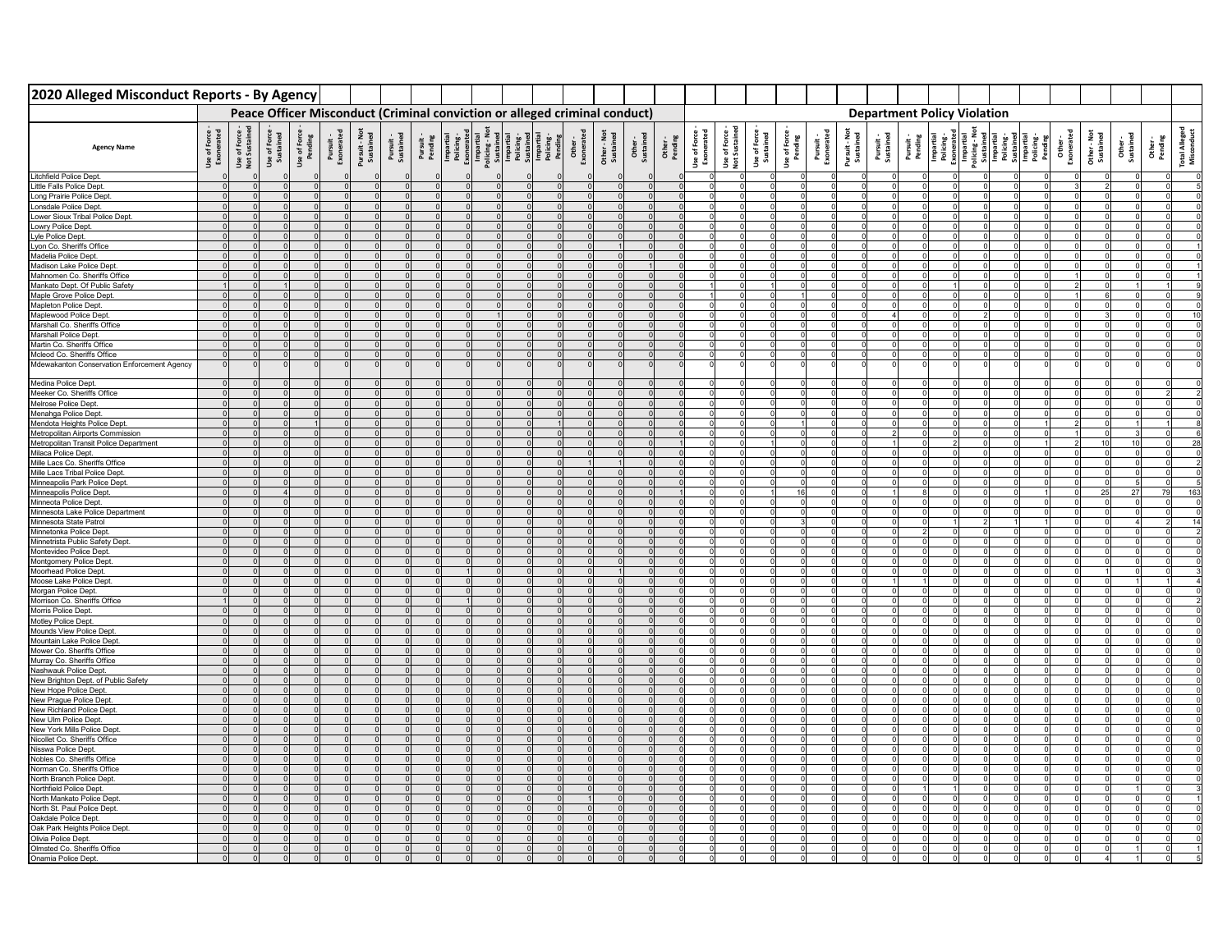| 2020 Alleged Misconduct Reports - By Agency                               |                            |                              |                           |                         |  |  |                                                                            |  |  |  |                    |                            |                            |                                  |                        |                         |                            |  |                                    |  |  |                                                                                                                                                                                                                                                                                                                                                                                                                                       |  |
|---------------------------------------------------------------------------|----------------------------|------------------------------|---------------------------|-------------------------|--|--|----------------------------------------------------------------------------|--|--|--|--------------------|----------------------------|----------------------------|----------------------------------|------------------------|-------------------------|----------------------------|--|------------------------------------|--|--|---------------------------------------------------------------------------------------------------------------------------------------------------------------------------------------------------------------------------------------------------------------------------------------------------------------------------------------------------------------------------------------------------------------------------------------|--|
|                                                                           |                            |                              |                           |                         |  |  | Peace Officer Misconduct (Criminal conviction or alleged criminal conduct) |  |  |  |                    |                            |                            |                                  |                        |                         |                            |  | <b>Department Policy Violation</b> |  |  |                                                                                                                                                                                                                                                                                                                                                                                                                                       |  |
| <b>Agency Name</b>                                                        | Use of Force<br>Exonerated | Use of Force<br>Not Sustaine | Use of Force<br>Sustained | Use of Force<br>Pending |  |  |                                                                            |  |  |  | Other -<br>Pending | Use of Force<br>Exonerated | Use of Forc<br>Not Sustain | <b>Use of Force</b><br>Sustained | Use of Forc<br>Pending | Pursuit -<br>Exonerated | Pursuit - Not<br>Sustained |  |                                    |  |  | $\begin{tabular}{l c c c c c} \hline \textbf{P} & \textbf{F} & \textbf{F} & \textbf{F} & \textbf{F} \\ \hline \textbf{D} & \textbf{F} & \textbf{F} & \textbf{F} & \textbf{F} \\ \hline \textbf{D} & \textbf{F} & \textbf{F} & \textbf{F} & \textbf{F} \\ \hline \textbf{D} & \textbf{F} & \textbf{F} & \textbf{F} & \textbf{F} \\ \hline \textbf{D} & \textbf{D} & \textbf{F} & \textbf{F} & \textbf{F} \\ \hline \textbf{D} & \text$ |  |
| <b>Litchfield Police Dept</b>                                             |                            |                              |                           |                         |  |  |                                                                            |  |  |  |                    |                            |                            |                                  |                        |                         |                            |  |                                    |  |  |                                                                                                                                                                                                                                                                                                                                                                                                                                       |  |
| Little Falls Police Dept.                                                 |                            |                              |                           |                         |  |  |                                                                            |  |  |  |                    |                            |                            |                                  |                        |                         |                            |  |                                    |  |  |                                                                                                                                                                                                                                                                                                                                                                                                                                       |  |
| Long Prairie Police Dept.                                                 |                            |                              |                           |                         |  |  |                                                                            |  |  |  |                    |                            |                            |                                  |                        |                         |                            |  |                                    |  |  |                                                                                                                                                                                                                                                                                                                                                                                                                                       |  |
| Lonsdale Police Dept.<br>Lower Sioux Tribal Police Dept.                  |                            |                              |                           |                         |  |  |                                                                            |  |  |  |                    |                            |                            |                                  |                        |                         |                            |  |                                    |  |  |                                                                                                                                                                                                                                                                                                                                                                                                                                       |  |
| Lowry Police Dept.                                                        |                            |                              |                           |                         |  |  |                                                                            |  |  |  |                    |                            |                            |                                  |                        |                         |                            |  |                                    |  |  |                                                                                                                                                                                                                                                                                                                                                                                                                                       |  |
| Lyle Police Dept.                                                         |                            |                              |                           |                         |  |  |                                                                            |  |  |  |                    |                            |                            |                                  |                        |                         |                            |  |                                    |  |  |                                                                                                                                                                                                                                                                                                                                                                                                                                       |  |
| Lyon Co. Sheriffs Office                                                  |                            |                              |                           |                         |  |  |                                                                            |  |  |  |                    |                            |                            |                                  |                        |                         |                            |  |                                    |  |  |                                                                                                                                                                                                                                                                                                                                                                                                                                       |  |
| Madelia Police Dept.                                                      |                            |                              |                           |                         |  |  |                                                                            |  |  |  |                    |                            |                            |                                  |                        |                         |                            |  |                                    |  |  |                                                                                                                                                                                                                                                                                                                                                                                                                                       |  |
| Madison Lake Police Dept                                                  |                            |                              |                           |                         |  |  |                                                                            |  |  |  |                    |                            |                            |                                  |                        |                         |                            |  |                                    |  |  |                                                                                                                                                                                                                                                                                                                                                                                                                                       |  |
| Mahnomen Co. Sheriffs Office                                              |                            |                              |                           |                         |  |  |                                                                            |  |  |  |                    |                            |                            |                                  |                        |                         |                            |  |                                    |  |  |                                                                                                                                                                                                                                                                                                                                                                                                                                       |  |
| Mankato Dept. Of Public Safety<br>Maple Grove Police Dept                 |                            |                              |                           |                         |  |  |                                                                            |  |  |  |                    |                            |                            |                                  |                        |                         |                            |  |                                    |  |  |                                                                                                                                                                                                                                                                                                                                                                                                                                       |  |
| Mapleton Police Dept                                                      |                            |                              |                           |                         |  |  |                                                                            |  |  |  |                    |                            |                            |                                  |                        |                         |                            |  |                                    |  |  |                                                                                                                                                                                                                                                                                                                                                                                                                                       |  |
| Maplewood Police Dept                                                     |                            |                              |                           |                         |  |  |                                                                            |  |  |  |                    |                            |                            |                                  |                        |                         |                            |  |                                    |  |  |                                                                                                                                                                                                                                                                                                                                                                                                                                       |  |
| Marshall Co. Sheriffs Office                                              |                            |                              |                           |                         |  |  |                                                                            |  |  |  |                    |                            |                            |                                  |                        |                         |                            |  |                                    |  |  |                                                                                                                                                                                                                                                                                                                                                                                                                                       |  |
| Marshall Police Dept                                                      |                            |                              |                           |                         |  |  |                                                                            |  |  |  |                    |                            |                            |                                  |                        |                         |                            |  |                                    |  |  |                                                                                                                                                                                                                                                                                                                                                                                                                                       |  |
| Martin Co. Sheriffs Office                                                |                            |                              |                           |                         |  |  |                                                                            |  |  |  |                    |                            |                            |                                  |                        |                         |                            |  |                                    |  |  |                                                                                                                                                                                                                                                                                                                                                                                                                                       |  |
| Mcleod Co. Sheriffs Office<br>Mdewakanton Conservation Enforcement Agency |                            |                              |                           |                         |  |  |                                                                            |  |  |  |                    |                            |                            |                                  |                        |                         |                            |  |                                    |  |  |                                                                                                                                                                                                                                                                                                                                                                                                                                       |  |
|                                                                           |                            |                              |                           |                         |  |  |                                                                            |  |  |  |                    |                            |                            |                                  |                        |                         |                            |  |                                    |  |  |                                                                                                                                                                                                                                                                                                                                                                                                                                       |  |
| Medina Police Dept.                                                       |                            |                              |                           |                         |  |  |                                                                            |  |  |  |                    |                            |                            |                                  |                        |                         |                            |  |                                    |  |  |                                                                                                                                                                                                                                                                                                                                                                                                                                       |  |
| Meeker Co. Sheriffs Office                                                |                            |                              |                           | $\Omega$                |  |  |                                                                            |  |  |  |                    |                            |                            |                                  |                        |                         |                            |  |                                    |  |  |                                                                                                                                                                                                                                                                                                                                                                                                                                       |  |
| Melrose Police Dept                                                       |                            |                              |                           |                         |  |  |                                                                            |  |  |  |                    |                            |                            |                                  |                        |                         |                            |  |                                    |  |  |                                                                                                                                                                                                                                                                                                                                                                                                                                       |  |
| Menahga Police Dept.<br>Mendota Heights Police Dept.                      |                            |                              |                           |                         |  |  |                                                                            |  |  |  |                    |                            |                            |                                  |                        |                         |                            |  |                                    |  |  |                                                                                                                                                                                                                                                                                                                                                                                                                                       |  |
| Metropolitan Airports Commission                                          |                            |                              |                           |                         |  |  |                                                                            |  |  |  |                    |                            |                            |                                  |                        |                         |                            |  |                                    |  |  |                                                                                                                                                                                                                                                                                                                                                                                                                                       |  |
| Metropolitan Transit Police Department                                    |                            |                              |                           |                         |  |  |                                                                            |  |  |  |                    |                            |                            |                                  |                        |                         |                            |  |                                    |  |  |                                                                                                                                                                                                                                                                                                                                                                                                                                       |  |
| Milaca Police Dept.                                                       |                            |                              |                           |                         |  |  |                                                                            |  |  |  |                    |                            |                            |                                  |                        |                         |                            |  |                                    |  |  |                                                                                                                                                                                                                                                                                                                                                                                                                                       |  |
| Mille Lacs Co. Sheriffs Office                                            |                            |                              |                           |                         |  |  |                                                                            |  |  |  |                    |                            |                            |                                  |                        |                         |                            |  |                                    |  |  |                                                                                                                                                                                                                                                                                                                                                                                                                                       |  |
| Mille Lacs Tribal Police Dept<br>Minneapolis Park Police Dept             |                            |                              |                           |                         |  |  |                                                                            |  |  |  |                    |                            |                            |                                  |                        |                         |                            |  |                                    |  |  |                                                                                                                                                                                                                                                                                                                                                                                                                                       |  |
| Minneapolis Police Dept                                                   |                            |                              |                           |                         |  |  |                                                                            |  |  |  |                    |                            |                            |                                  |                        |                         |                            |  |                                    |  |  |                                                                                                                                                                                                                                                                                                                                                                                                                                       |  |
| Minneota Police Dept                                                      |                            |                              |                           |                         |  |  |                                                                            |  |  |  |                    |                            |                            |                                  |                        |                         |                            |  |                                    |  |  |                                                                                                                                                                                                                                                                                                                                                                                                                                       |  |
| Minnesota Lake Police Department                                          |                            |                              |                           |                         |  |  |                                                                            |  |  |  |                    |                            |                            |                                  |                        |                         |                            |  |                                    |  |  |                                                                                                                                                                                                                                                                                                                                                                                                                                       |  |
| Minnesota State Patrol<br>Minnetonka Police Dept                          |                            |                              |                           |                         |  |  |                                                                            |  |  |  |                    |                            |                            |                                  |                        |                         |                            |  |                                    |  |  |                                                                                                                                                                                                                                                                                                                                                                                                                                       |  |
| Minnetrista Public Safety Dept.                                           |                            |                              |                           |                         |  |  |                                                                            |  |  |  |                    |                            |                            |                                  |                        |                         |                            |  |                                    |  |  |                                                                                                                                                                                                                                                                                                                                                                                                                                       |  |
| Montevideo Police Dept.                                                   |                            |                              |                           |                         |  |  |                                                                            |  |  |  |                    |                            |                            |                                  |                        |                         |                            |  |                                    |  |  |                                                                                                                                                                                                                                                                                                                                                                                                                                       |  |
| Montgomery Police Dept                                                    |                            |                              |                           |                         |  |  |                                                                            |  |  |  |                    |                            |                            |                                  |                        |                         |                            |  |                                    |  |  |                                                                                                                                                                                                                                                                                                                                                                                                                                       |  |
| Moorhead Police Dept.                                                     |                            |                              |                           |                         |  |  |                                                                            |  |  |  |                    |                            |                            |                                  |                        |                         |                            |  |                                    |  |  |                                                                                                                                                                                                                                                                                                                                                                                                                                       |  |
| Moose Lake Police Dept                                                    |                            |                              |                           |                         |  |  |                                                                            |  |  |  |                    |                            |                            |                                  |                        |                         |                            |  |                                    |  |  |                                                                                                                                                                                                                                                                                                                                                                                                                                       |  |
| Morgan Police Dept.<br>Morrison Co. Sheriffs Office                       |                            |                              |                           |                         |  |  |                                                                            |  |  |  |                    |                            |                            |                                  |                        |                         |                            |  |                                    |  |  |                                                                                                                                                                                                                                                                                                                                                                                                                                       |  |
| Morris Police Dept                                                        |                            |                              |                           |                         |  |  |                                                                            |  |  |  |                    |                            |                            |                                  |                        |                         |                            |  |                                    |  |  |                                                                                                                                                                                                                                                                                                                                                                                                                                       |  |
| Motley Police Dept.                                                       |                            |                              |                           |                         |  |  |                                                                            |  |  |  |                    |                            |                            |                                  |                        |                         |                            |  |                                    |  |  |                                                                                                                                                                                                                                                                                                                                                                                                                                       |  |
| Mounds View Police Dept.                                                  |                            |                              |                           |                         |  |  |                                                                            |  |  |  |                    |                            |                            |                                  |                        |                         |                            |  |                                    |  |  |                                                                                                                                                                                                                                                                                                                                                                                                                                       |  |
| Mountain Lake Police Dept.<br>Mower Co. Sheriffs Office                   |                            |                              |                           |                         |  |  |                                                                            |  |  |  |                    |                            |                            |                                  |                        |                         |                            |  |                                    |  |  |                                                                                                                                                                                                                                                                                                                                                                                                                                       |  |
| Murray Co. Sheriffs Office                                                |                            |                              |                           |                         |  |  |                                                                            |  |  |  |                    |                            |                            |                                  |                        |                         |                            |  |                                    |  |  |                                                                                                                                                                                                                                                                                                                                                                                                                                       |  |
| Nashwauk Police Dept.                                                     |                            |                              |                           |                         |  |  |                                                                            |  |  |  |                    |                            |                            |                                  |                        |                         |                            |  |                                    |  |  |                                                                                                                                                                                                                                                                                                                                                                                                                                       |  |
| New Brighton Dept. of Public Safety                                       |                            |                              |                           |                         |  |  |                                                                            |  |  |  |                    |                            |                            |                                  |                        |                         |                            |  |                                    |  |  |                                                                                                                                                                                                                                                                                                                                                                                                                                       |  |
| New Hope Police Dep                                                       |                            |                              |                           |                         |  |  |                                                                            |  |  |  |                    |                            |                            |                                  |                        |                         |                            |  |                                    |  |  |                                                                                                                                                                                                                                                                                                                                                                                                                                       |  |
| New Prague Police Dept<br>New Richland Police Dept                        |                            |                              |                           |                         |  |  |                                                                            |  |  |  |                    |                            |                            |                                  |                        |                         |                            |  |                                    |  |  |                                                                                                                                                                                                                                                                                                                                                                                                                                       |  |
| New Ulm Police Dept.                                                      |                            |                              |                           |                         |  |  |                                                                            |  |  |  |                    |                            |                            |                                  |                        |                         |                            |  |                                    |  |  |                                                                                                                                                                                                                                                                                                                                                                                                                                       |  |
| New York Mills Police Dept                                                |                            |                              |                           |                         |  |  |                                                                            |  |  |  |                    |                            |                            |                                  |                        |                         |                            |  |                                    |  |  |                                                                                                                                                                                                                                                                                                                                                                                                                                       |  |
| Nicollet Co. Sheriffs Office                                              |                            |                              |                           |                         |  |  |                                                                            |  |  |  |                    |                            |                            |                                  |                        |                         |                            |  |                                    |  |  |                                                                                                                                                                                                                                                                                                                                                                                                                                       |  |
| Nisswa Police Dept.                                                       |                            |                              |                           |                         |  |  |                                                                            |  |  |  |                    |                            |                            |                                  |                        |                         |                            |  |                                    |  |  |                                                                                                                                                                                                                                                                                                                                                                                                                                       |  |
| Nobles Co. Sheriffs Office<br>Norman Co. Sheriffs Office                  |                            |                              |                           |                         |  |  |                                                                            |  |  |  |                    |                            |                            |                                  |                        |                         |                            |  |                                    |  |  |                                                                                                                                                                                                                                                                                                                                                                                                                                       |  |
| North Branch Police Dept.                                                 |                            |                              |                           |                         |  |  |                                                                            |  |  |  |                    |                            |                            |                                  |                        |                         |                            |  |                                    |  |  |                                                                                                                                                                                                                                                                                                                                                                                                                                       |  |
| Northfield Police Dept.                                                   |                            |                              |                           |                         |  |  |                                                                            |  |  |  |                    |                            |                            |                                  |                        |                         |                            |  |                                    |  |  |                                                                                                                                                                                                                                                                                                                                                                                                                                       |  |
| North Mankato Police Dept.                                                |                            |                              |                           |                         |  |  |                                                                            |  |  |  |                    |                            |                            |                                  |                        |                         |                            |  |                                    |  |  |                                                                                                                                                                                                                                                                                                                                                                                                                                       |  |
| North St. Paul Police Dept.                                               |                            |                              |                           |                         |  |  |                                                                            |  |  |  |                    |                            |                            |                                  |                        |                         |                            |  |                                    |  |  |                                                                                                                                                                                                                                                                                                                                                                                                                                       |  |
| Oakdale Police Dept.<br>Oak Park Heights Police Dept.                     |                            |                              |                           |                         |  |  |                                                                            |  |  |  |                    |                            |                            |                                  |                        |                         |                            |  |                                    |  |  |                                                                                                                                                                                                                                                                                                                                                                                                                                       |  |
| Olivia Police Dept.                                                       |                            |                              |                           |                         |  |  |                                                                            |  |  |  |                    |                            |                            |                                  |                        |                         |                            |  |                                    |  |  |                                                                                                                                                                                                                                                                                                                                                                                                                                       |  |
| Olmsted Co. Sheriffs Office<br>Onamia Police Dept.                        |                            |                              |                           |                         |  |  |                                                                            |  |  |  |                    |                            |                            |                                  |                        |                         |                            |  |                                    |  |  |                                                                                                                                                                                                                                                                                                                                                                                                                                       |  |
|                                                                           |                            |                              |                           |                         |  |  |                                                                            |  |  |  |                    |                            |                            |                                  |                        |                         |                            |  |                                    |  |  |                                                                                                                                                                                                                                                                                                                                                                                                                                       |  |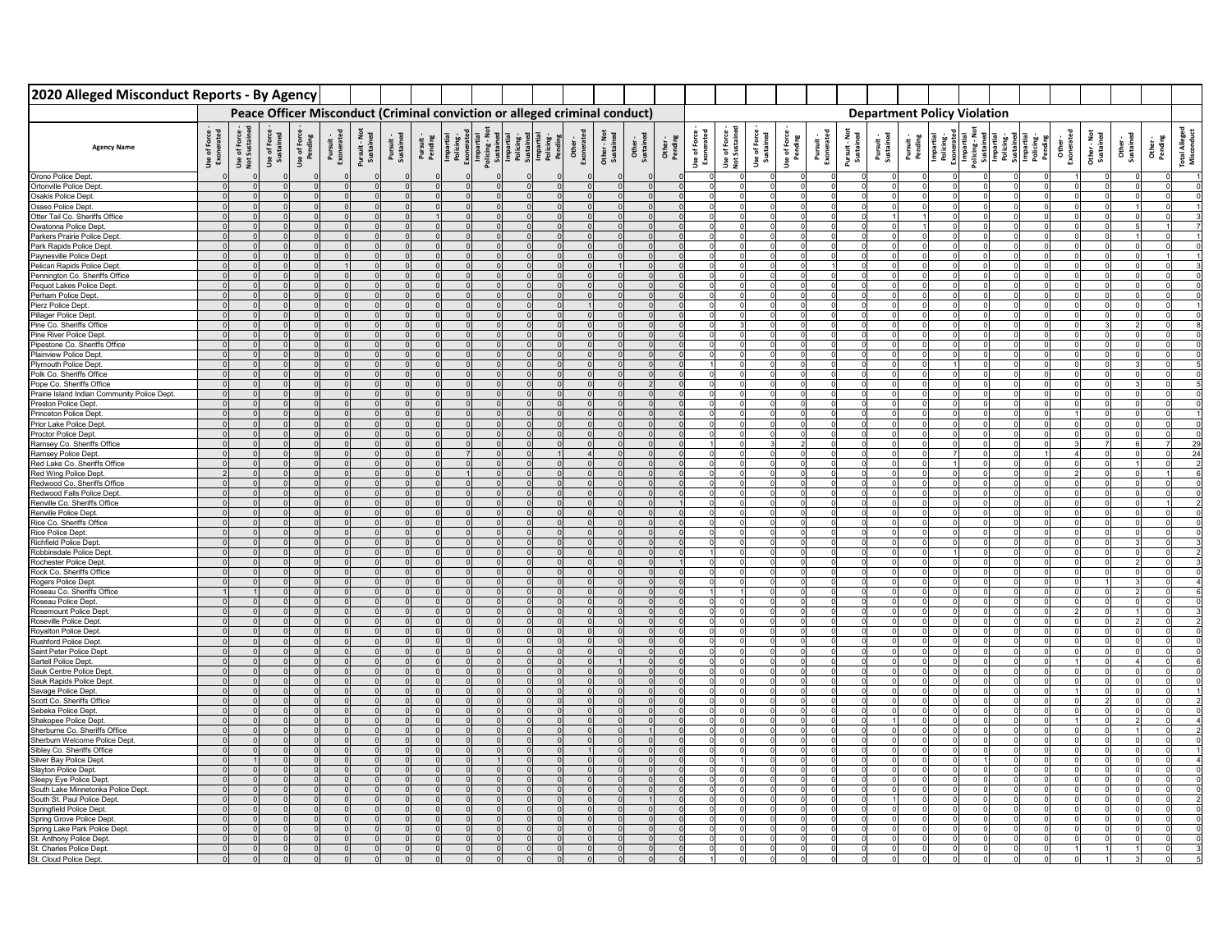| 2020 Alleged Misconduct Reports - By Agency                   |                            |                              |                           |          |  |  |                                                                                                                                                                                                                                                                                                                                                                                                                                                                                            |  |  |  |          |                                                                 |                                  |                         |                         |                            |                                    |  |  |  |  |                                                                                                                                                                                                                                                                                                                                                                                                                                                                     |    |
|---------------------------------------------------------------|----------------------------|------------------------------|---------------------------|----------|--|--|--------------------------------------------------------------------------------------------------------------------------------------------------------------------------------------------------------------------------------------------------------------------------------------------------------------------------------------------------------------------------------------------------------------------------------------------------------------------------------------------|--|--|--|----------|-----------------------------------------------------------------|----------------------------------|-------------------------|-------------------------|----------------------------|------------------------------------|--|--|--|--|---------------------------------------------------------------------------------------------------------------------------------------------------------------------------------------------------------------------------------------------------------------------------------------------------------------------------------------------------------------------------------------------------------------------------------------------------------------------|----|
|                                                               |                            |                              |                           |          |  |  | Peace Officer Misconduct (Criminal conviction or alleged criminal conduct)                                                                                                                                                                                                                                                                                                                                                                                                                 |  |  |  |          |                                                                 |                                  |                         |                         |                            | <b>Department Policy Violation</b> |  |  |  |  |                                                                                                                                                                                                                                                                                                                                                                                                                                                                     |    |
| <b>Agency Name</b>                                            | Use of Force<br>Exonerated | Use of Force<br>Not Sustaine | Use of Force<br>Sustained |          |  |  | $\begin{tabular}{l c c c c c c} \hline & \multicolumn{3}{c}{\textbf{Use of Fove}}\\ \hline \multicolumn{3}{c}{\textbf{Perdive}}\\ \hline \multicolumn{3}{c}{\textbf{Perdive}}\\ \hline \multicolumn{3}{c}{\textbf{Perdive}}\\ \hline \multicolumn{3}{c}{\textbf{Perdive}}\\ \hline \multicolumn{3}{c}{\textbf{Perdive}}\\ \hline \multicolumn{3}{c}{\textbf{Perdive}}\\ \hline \multicolumn{3}{c}{\textbf{Perdive}}\\ \hline \multicolumn{3}{c}{\textbf{Perdive}}\\ \hline \multicolumn{3$ |  |  |  |          | Use of Force -<br>Exonerated<br>Use of Force -<br>Not Sustained | <b>Use of Force</b><br>Sustained | Use of Force<br>Pending | Pursuit -<br>Exonerated | Pursuit - Not<br>Sustained | Pursuit -<br>Sustained             |  |  |  |  | $\begin{tabular}{l c c c c} \multicolumn{3}{l}{\textbf{P}} \multicolumn{3}{l}{\textbf{P}} \multicolumn{3}{l}{\textbf{P}} \multicolumn{3}{l}{\textbf{P}} \multicolumn{3}{l}{\textbf{P}} \multicolumn{3}{l}{\textbf{P}} \multicolumn{3}{l}{\textbf{P}} \multicolumn{3}{l}{\textbf{P}} \multicolumn{3}{l}{\textbf{P}} \multicolumn{3}{l}{\textbf{P}} \multicolumn{3}{l}{\textbf{P}} \multicolumn{3}{l}{\textbf{P}} \multicolumn{3}{l}{\textbf{P}} \multicolumn{3}{l}{$ |    |
| Orono Police Dept.                                            |                            |                              |                           |          |  |  |                                                                                                                                                                                                                                                                                                                                                                                                                                                                                            |  |  |  | $\Omega$ |                                                                 |                                  |                         |                         |                            |                                    |  |  |  |  |                                                                                                                                                                                                                                                                                                                                                                                                                                                                     |    |
| Ortonville Police Dept.                                       |                            |                              |                           | $\Omega$ |  |  |                                                                                                                                                                                                                                                                                                                                                                                                                                                                                            |  |  |  | $\Omega$ |                                                                 |                                  |                         |                         |                            |                                    |  |  |  |  |                                                                                                                                                                                                                                                                                                                                                                                                                                                                     |    |
| Osakis Police Dept.<br>Osseo Police Dept.                     |                            |                              |                           | $\Omega$ |  |  |                                                                                                                                                                                                                                                                                                                                                                                                                                                                                            |  |  |  | $\Omega$ |                                                                 |                                  |                         |                         |                            |                                    |  |  |  |  |                                                                                                                                                                                                                                                                                                                                                                                                                                                                     |    |
| Otter Tail Co. Sheriffs Office                                |                            |                              |                           |          |  |  |                                                                                                                                                                                                                                                                                                                                                                                                                                                                                            |  |  |  |          |                                                                 |                                  |                         |                         |                            |                                    |  |  |  |  |                                                                                                                                                                                                                                                                                                                                                                                                                                                                     |    |
| Owatonna Police Dept.                                         |                            |                              |                           |          |  |  |                                                                                                                                                                                                                                                                                                                                                                                                                                                                                            |  |  |  |          |                                                                 |                                  |                         |                         |                            |                                    |  |  |  |  |                                                                                                                                                                                                                                                                                                                                                                                                                                                                     |    |
| Parkers Prairie Police Dep                                    |                            |                              |                           |          |  |  |                                                                                                                                                                                                                                                                                                                                                                                                                                                                                            |  |  |  |          |                                                                 |                                  |                         |                         |                            |                                    |  |  |  |  |                                                                                                                                                                                                                                                                                                                                                                                                                                                                     |    |
| Park Rapids Police Dept.                                      |                            |                              |                           |          |  |  |                                                                                                                                                                                                                                                                                                                                                                                                                                                                                            |  |  |  |          |                                                                 |                                  |                         |                         |                            |                                    |  |  |  |  |                                                                                                                                                                                                                                                                                                                                                                                                                                                                     |    |
| Paynesville Police Dept.                                      |                            |                              |                           |          |  |  |                                                                                                                                                                                                                                                                                                                                                                                                                                                                                            |  |  |  |          |                                                                 |                                  |                         |                         |                            |                                    |  |  |  |  |                                                                                                                                                                                                                                                                                                                                                                                                                                                                     |    |
| Pelican Rapids Police Dept.<br>Pennington Co. Sheriffs Office |                            |                              |                           |          |  |  |                                                                                                                                                                                                                                                                                                                                                                                                                                                                                            |  |  |  |          |                                                                 |                                  |                         |                         |                            |                                    |  |  |  |  |                                                                                                                                                                                                                                                                                                                                                                                                                                                                     |    |
| Pequot Lakes Police Dept                                      |                            |                              |                           |          |  |  |                                                                                                                                                                                                                                                                                                                                                                                                                                                                                            |  |  |  |          |                                                                 |                                  |                         |                         |                            |                                    |  |  |  |  |                                                                                                                                                                                                                                                                                                                                                                                                                                                                     |    |
| Perham Police Dep                                             |                            |                              |                           |          |  |  |                                                                                                                                                                                                                                                                                                                                                                                                                                                                                            |  |  |  |          |                                                                 |                                  |                         |                         |                            |                                    |  |  |  |  |                                                                                                                                                                                                                                                                                                                                                                                                                                                                     |    |
| Pierz Police Dept                                             |                            |                              |                           |          |  |  |                                                                                                                                                                                                                                                                                                                                                                                                                                                                                            |  |  |  |          |                                                                 |                                  |                         |                         |                            |                                    |  |  |  |  |                                                                                                                                                                                                                                                                                                                                                                                                                                                                     |    |
| Pillager Police Dept                                          |                            |                              |                           |          |  |  |                                                                                                                                                                                                                                                                                                                                                                                                                                                                                            |  |  |  |          |                                                                 |                                  |                         |                         |                            |                                    |  |  |  |  |                                                                                                                                                                                                                                                                                                                                                                                                                                                                     |    |
| Pine Co. Sheriffs Office                                      |                            |                              |                           |          |  |  |                                                                                                                                                                                                                                                                                                                                                                                                                                                                                            |  |  |  |          |                                                                 |                                  |                         |                         |                            |                                    |  |  |  |  |                                                                                                                                                                                                                                                                                                                                                                                                                                                                     |    |
| Pine River Police Dept.                                       |                            |                              |                           |          |  |  |                                                                                                                                                                                                                                                                                                                                                                                                                                                                                            |  |  |  |          |                                                                 |                                  |                         |                         |                            |                                    |  |  |  |  |                                                                                                                                                                                                                                                                                                                                                                                                                                                                     |    |
| Pipestone Co. Sheriffs Office<br>Plainview Police Dept.       |                            |                              |                           |          |  |  |                                                                                                                                                                                                                                                                                                                                                                                                                                                                                            |  |  |  |          |                                                                 |                                  |                         |                         |                            |                                    |  |  |  |  |                                                                                                                                                                                                                                                                                                                                                                                                                                                                     |    |
| Plymouth Police Dept.                                         |                            |                              |                           |          |  |  |                                                                                                                                                                                                                                                                                                                                                                                                                                                                                            |  |  |  |          |                                                                 |                                  |                         |                         |                            |                                    |  |  |  |  |                                                                                                                                                                                                                                                                                                                                                                                                                                                                     |    |
| Polk Co. Sheriffs Office                                      |                            |                              |                           |          |  |  |                                                                                                                                                                                                                                                                                                                                                                                                                                                                                            |  |  |  |          |                                                                 |                                  |                         |                         |                            |                                    |  |  |  |  |                                                                                                                                                                                                                                                                                                                                                                                                                                                                     |    |
| Pope Co. Sheriffs Office                                      |                            |                              |                           |          |  |  |                                                                                                                                                                                                                                                                                                                                                                                                                                                                                            |  |  |  |          |                                                                 |                                  |                         |                         |                            |                                    |  |  |  |  |                                                                                                                                                                                                                                                                                                                                                                                                                                                                     |    |
| Prairie Island Indian Community Police Dept.                  |                            |                              |                           |          |  |  |                                                                                                                                                                                                                                                                                                                                                                                                                                                                                            |  |  |  |          |                                                                 |                                  |                         |                         |                            |                                    |  |  |  |  |                                                                                                                                                                                                                                                                                                                                                                                                                                                                     |    |
| Preston Police Dept.                                          |                            |                              |                           |          |  |  |                                                                                                                                                                                                                                                                                                                                                                                                                                                                                            |  |  |  |          |                                                                 |                                  |                         |                         |                            |                                    |  |  |  |  |                                                                                                                                                                                                                                                                                                                                                                                                                                                                     |    |
| <b>Princeton Police Dept</b><br>Prior Lake Police Dept.       |                            |                              |                           |          |  |  |                                                                                                                                                                                                                                                                                                                                                                                                                                                                                            |  |  |  |          |                                                                 |                                  |                         |                         |                            |                                    |  |  |  |  |                                                                                                                                                                                                                                                                                                                                                                                                                                                                     |    |
| Proctor Police Dept.                                          |                            |                              |                           |          |  |  |                                                                                                                                                                                                                                                                                                                                                                                                                                                                                            |  |  |  |          |                                                                 |                                  |                         |                         |                            |                                    |  |  |  |  |                                                                                                                                                                                                                                                                                                                                                                                                                                                                     |    |
| Ramsey Co. Sheriffs Office                                    |                            |                              |                           |          |  |  |                                                                                                                                                                                                                                                                                                                                                                                                                                                                                            |  |  |  |          |                                                                 |                                  |                         |                         |                            |                                    |  |  |  |  |                                                                                                                                                                                                                                                                                                                                                                                                                                                                     | 29 |
| Ramsey Police Dept.                                           |                            |                              |                           |          |  |  |                                                                                                                                                                                                                                                                                                                                                                                                                                                                                            |  |  |  |          |                                                                 |                                  |                         |                         |                            |                                    |  |  |  |  |                                                                                                                                                                                                                                                                                                                                                                                                                                                                     | 24 |
| Red Lake Co. Sheriffs Office                                  |                            |                              |                           |          |  |  |                                                                                                                                                                                                                                                                                                                                                                                                                                                                                            |  |  |  |          |                                                                 |                                  |                         |                         |                            |                                    |  |  |  |  |                                                                                                                                                                                                                                                                                                                                                                                                                                                                     |    |
| Red Wing Police Dept.<br>Redwood Co. Sheriffs Office          |                            |                              |                           |          |  |  |                                                                                                                                                                                                                                                                                                                                                                                                                                                                                            |  |  |  |          |                                                                 |                                  |                         |                         |                            |                                    |  |  |  |  |                                                                                                                                                                                                                                                                                                                                                                                                                                                                     |    |
| Redwood Falls Police Dep                                      |                            |                              |                           |          |  |  |                                                                                                                                                                                                                                                                                                                                                                                                                                                                                            |  |  |  |          |                                                                 |                                  |                         |                         |                            |                                    |  |  |  |  |                                                                                                                                                                                                                                                                                                                                                                                                                                                                     |    |
| Renville Co. Sheriffs Office                                  |                            |                              |                           |          |  |  |                                                                                                                                                                                                                                                                                                                                                                                                                                                                                            |  |  |  |          |                                                                 |                                  |                         |                         |                            |                                    |  |  |  |  |                                                                                                                                                                                                                                                                                                                                                                                                                                                                     |    |
| Renville Police Dept                                          |                            |                              |                           |          |  |  |                                                                                                                                                                                                                                                                                                                                                                                                                                                                                            |  |  |  |          |                                                                 |                                  |                         |                         |                            |                                    |  |  |  |  |                                                                                                                                                                                                                                                                                                                                                                                                                                                                     |    |
| Rice Co. Sheriffs Office                                      |                            |                              |                           |          |  |  |                                                                                                                                                                                                                                                                                                                                                                                                                                                                                            |  |  |  |          |                                                                 |                                  |                         |                         |                            |                                    |  |  |  |  |                                                                                                                                                                                                                                                                                                                                                                                                                                                                     |    |
| Rice Police Dept.                                             |                            |                              |                           |          |  |  |                                                                                                                                                                                                                                                                                                                                                                                                                                                                                            |  |  |  |          |                                                                 |                                  |                         |                         |                            |                                    |  |  |  |  |                                                                                                                                                                                                                                                                                                                                                                                                                                                                     |    |
| Richfield Police Dept<br>Robbinsdale Police Dept              |                            |                              |                           |          |  |  |                                                                                                                                                                                                                                                                                                                                                                                                                                                                                            |  |  |  |          |                                                                 |                                  |                         |                         |                            |                                    |  |  |  |  |                                                                                                                                                                                                                                                                                                                                                                                                                                                                     |    |
| Rochester Police Dept.                                        |                            |                              |                           |          |  |  |                                                                                                                                                                                                                                                                                                                                                                                                                                                                                            |  |  |  |          |                                                                 |                                  |                         |                         |                            |                                    |  |  |  |  |                                                                                                                                                                                                                                                                                                                                                                                                                                                                     |    |
| Rock Co. Sheriffs Office                                      |                            |                              |                           |          |  |  |                                                                                                                                                                                                                                                                                                                                                                                                                                                                                            |  |  |  |          |                                                                 |                                  |                         |                         |                            |                                    |  |  |  |  |                                                                                                                                                                                                                                                                                                                                                                                                                                                                     |    |
| Rogers Police Dept.                                           |                            |                              |                           |          |  |  |                                                                                                                                                                                                                                                                                                                                                                                                                                                                                            |  |  |  |          |                                                                 |                                  |                         |                         |                            |                                    |  |  |  |  |                                                                                                                                                                                                                                                                                                                                                                                                                                                                     |    |
| Roseau Co. Sheriffs Office<br>Roseau Police Dept.             |                            |                              |                           |          |  |  |                                                                                                                                                                                                                                                                                                                                                                                                                                                                                            |  |  |  |          |                                                                 |                                  |                         |                         |                            |                                    |  |  |  |  |                                                                                                                                                                                                                                                                                                                                                                                                                                                                     |    |
| Rosemount Police Dept                                         |                            |                              |                           |          |  |  |                                                                                                                                                                                                                                                                                                                                                                                                                                                                                            |  |  |  |          |                                                                 |                                  |                         |                         |                            |                                    |  |  |  |  |                                                                                                                                                                                                                                                                                                                                                                                                                                                                     |    |
| Roseville Police Dept.                                        |                            |                              |                           |          |  |  |                                                                                                                                                                                                                                                                                                                                                                                                                                                                                            |  |  |  |          |                                                                 |                                  |                         |                         |                            |                                    |  |  |  |  |                                                                                                                                                                                                                                                                                                                                                                                                                                                                     |    |
| Royalton Police Dept.                                         |                            |                              |                           |          |  |  |                                                                                                                                                                                                                                                                                                                                                                                                                                                                                            |  |  |  |          |                                                                 |                                  |                         |                         |                            |                                    |  |  |  |  |                                                                                                                                                                                                                                                                                                                                                                                                                                                                     |    |
| Rushford Police Dept.                                         |                            |                              |                           |          |  |  |                                                                                                                                                                                                                                                                                                                                                                                                                                                                                            |  |  |  |          |                                                                 |                                  |                         |                         |                            |                                    |  |  |  |  |                                                                                                                                                                                                                                                                                                                                                                                                                                                                     |    |
| Saint Peter Police Dept.                                      |                            |                              |                           |          |  |  |                                                                                                                                                                                                                                                                                                                                                                                                                                                                                            |  |  |  |          |                                                                 |                                  |                         |                         |                            |                                    |  |  |  |  |                                                                                                                                                                                                                                                                                                                                                                                                                                                                     |    |
| Sartell Police Dept.<br>Sauk Centre Police Dept               |                            |                              |                           |          |  |  |                                                                                                                                                                                                                                                                                                                                                                                                                                                                                            |  |  |  |          |                                                                 |                                  |                         |                         |                            |                                    |  |  |  |  |                                                                                                                                                                                                                                                                                                                                                                                                                                                                     |    |
| Sauk Rapids Police Dept                                       |                            |                              |                           |          |  |  |                                                                                                                                                                                                                                                                                                                                                                                                                                                                                            |  |  |  |          |                                                                 |                                  |                         |                         |                            |                                    |  |  |  |  |                                                                                                                                                                                                                                                                                                                                                                                                                                                                     |    |
| Savage Police Dept.                                           |                            |                              |                           |          |  |  |                                                                                                                                                                                                                                                                                                                                                                                                                                                                                            |  |  |  |          |                                                                 |                                  |                         |                         |                            |                                    |  |  |  |  |                                                                                                                                                                                                                                                                                                                                                                                                                                                                     |    |
| Scott Co. Sheriffs Office                                     |                            |                              |                           |          |  |  |                                                                                                                                                                                                                                                                                                                                                                                                                                                                                            |  |  |  |          |                                                                 |                                  |                         |                         |                            |                                    |  |  |  |  |                                                                                                                                                                                                                                                                                                                                                                                                                                                                     |    |
| Sebeka Police Dep                                             |                            |                              |                           |          |  |  |                                                                                                                                                                                                                                                                                                                                                                                                                                                                                            |  |  |  |          |                                                                 |                                  |                         |                         |                            |                                    |  |  |  |  |                                                                                                                                                                                                                                                                                                                                                                                                                                                                     |    |
| Shakopee Police Dept<br>Sherburne Co. Sheriffs Office         |                            |                              |                           |          |  |  |                                                                                                                                                                                                                                                                                                                                                                                                                                                                                            |  |  |  |          |                                                                 |                                  |                         |                         |                            |                                    |  |  |  |  |                                                                                                                                                                                                                                                                                                                                                                                                                                                                     |    |
| Sherburn Welcome Police Dept                                  |                            |                              |                           |          |  |  |                                                                                                                                                                                                                                                                                                                                                                                                                                                                                            |  |  |  |          |                                                                 |                                  |                         |                         |                            |                                    |  |  |  |  |                                                                                                                                                                                                                                                                                                                                                                                                                                                                     |    |
| Sibley Co. Sheriffs Office                                    |                            |                              |                           |          |  |  |                                                                                                                                                                                                                                                                                                                                                                                                                                                                                            |  |  |  |          |                                                                 |                                  |                         |                         |                            |                                    |  |  |  |  |                                                                                                                                                                                                                                                                                                                                                                                                                                                                     |    |
| Silver Bay Police Dept.                                       |                            |                              |                           |          |  |  |                                                                                                                                                                                                                                                                                                                                                                                                                                                                                            |  |  |  |          |                                                                 |                                  |                         |                         |                            |                                    |  |  |  |  |                                                                                                                                                                                                                                                                                                                                                                                                                                                                     |    |
| Slayton Police Dept.                                          |                            |                              |                           |          |  |  |                                                                                                                                                                                                                                                                                                                                                                                                                                                                                            |  |  |  |          |                                                                 |                                  |                         |                         |                            |                                    |  |  |  |  |                                                                                                                                                                                                                                                                                                                                                                                                                                                                     |    |
| Sleepy Eye Police Dept<br>South Lake Minnetonka Police Dept.  |                            |                              |                           |          |  |  |                                                                                                                                                                                                                                                                                                                                                                                                                                                                                            |  |  |  |          |                                                                 |                                  |                         |                         |                            |                                    |  |  |  |  |                                                                                                                                                                                                                                                                                                                                                                                                                                                                     |    |
| South St. Paul Police Dept                                    |                            |                              |                           |          |  |  |                                                                                                                                                                                                                                                                                                                                                                                                                                                                                            |  |  |  |          |                                                                 |                                  |                         |                         |                            |                                    |  |  |  |  |                                                                                                                                                                                                                                                                                                                                                                                                                                                                     |    |
| Springfield Police Dept                                       |                            |                              |                           |          |  |  |                                                                                                                                                                                                                                                                                                                                                                                                                                                                                            |  |  |  |          |                                                                 |                                  |                         |                         |                            |                                    |  |  |  |  |                                                                                                                                                                                                                                                                                                                                                                                                                                                                     |    |
| Spring Grove Police Dept                                      |                            |                              |                           |          |  |  |                                                                                                                                                                                                                                                                                                                                                                                                                                                                                            |  |  |  |          |                                                                 |                                  |                         |                         |                            |                                    |  |  |  |  |                                                                                                                                                                                                                                                                                                                                                                                                                                                                     |    |
| Spring Lake Park Police Dept.                                 |                            |                              |                           |          |  |  |                                                                                                                                                                                                                                                                                                                                                                                                                                                                                            |  |  |  |          |                                                                 |                                  |                         |                         |                            |                                    |  |  |  |  |                                                                                                                                                                                                                                                                                                                                                                                                                                                                     |    |
| St. Anthony Police Dept.                                      |                            |                              |                           |          |  |  |                                                                                                                                                                                                                                                                                                                                                                                                                                                                                            |  |  |  |          |                                                                 |                                  |                         |                         |                            |                                    |  |  |  |  |                                                                                                                                                                                                                                                                                                                                                                                                                                                                     |    |
| St. Charles Police Dept.<br>St. Cloud Police Dept.            |                            |                              |                           |          |  |  |                                                                                                                                                                                                                                                                                                                                                                                                                                                                                            |  |  |  |          |                                                                 |                                  |                         |                         |                            |                                    |  |  |  |  |                                                                                                                                                                                                                                                                                                                                                                                                                                                                     |    |